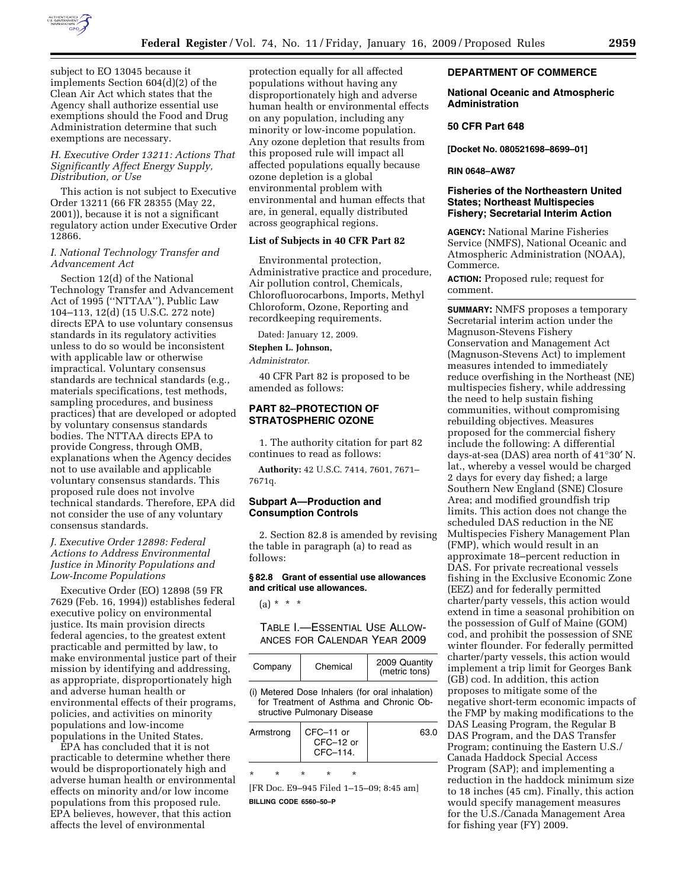

subject to EO 13045 because it implements Section 604(d)(2) of the Clean Air Act which states that the Agency shall authorize essential use exemptions should the Food and Drug Administration determine that such exemptions are necessary.

### *H. Executive Order 13211: Actions That Significantly Affect Energy Supply, Distribution, or Use*

This action is not subject to Executive Order 13211 (66 FR 28355 (May 22, 2001)), because it is not a significant regulatory action under Executive Order 12866.

### *I. National Technology Transfer and Advancement Act*

Section 12(d) of the National Technology Transfer and Advancement Act of 1995 (''NTTAA''), Public Law 104–113, 12(d) (15 U.S.C. 272 note) directs EPA to use voluntary consensus standards in its regulatory activities unless to do so would be inconsistent with applicable law or otherwise impractical. Voluntary consensus standards are technical standards (e.g., materials specifications, test methods, sampling procedures, and business practices) that are developed or adopted by voluntary consensus standards bodies. The NTTAA directs EPA to provide Congress, through OMB, explanations when the Agency decides not to use available and applicable voluntary consensus standards. This proposed rule does not involve technical standards. Therefore, EPA did not consider the use of any voluntary consensus standards.

## *J. Executive Order 12898: Federal Actions to Address Environmental Justice in Minority Populations and Low-Income Populations*

Executive Order (EO) 12898 (59 FR 7629 (Feb. 16, 1994)) establishes federal executive policy on environmental justice. Its main provision directs federal agencies, to the greatest extent practicable and permitted by law, to make environmental justice part of their mission by identifying and addressing, as appropriate, disproportionately high and adverse human health or environmental effects of their programs, policies, and activities on minority populations and low-income populations in the United States.

EPA has concluded that it is not practicable to determine whether there would be disproportionately high and adverse human health or environmental effects on minority and/or low income populations from this proposed rule. EPA believes, however, that this action affects the level of environmental

protection equally for all affected populations without having any disproportionately high and adverse human health or environmental effects on any population, including any minority or low-income population. Any ozone depletion that results from this proposed rule will impact all affected populations equally because ozone depletion is a global environmental problem with environmental and human effects that are, in general, equally distributed across geographical regions.

#### **List of Subjects in 40 CFR Part 82**

Environmental protection, Administrative practice and procedure, Air pollution control, Chemicals, Chlorofluorocarbons, Imports, Methyl Chloroform, Ozone, Reporting and recordkeeping requirements.

Dated: January 12, 2009.

**Stephen L. Johnson,** 

*Administrator.* 

40 CFR Part 82 is proposed to be amended as follows:

## **PART 82–PROTECTION OF STRATOSPHERIC OZONE**

1. The authority citation for part 82 continues to read as follows:

**Authority:** 42 U.S.C. 7414, 7601, 7671– 7671q.

#### **Subpart A—Production and Consumption Controls**

2. Section 82.8 is amended by revising the table in paragraph (a) to read as follows:

### **§ 82.8 Grant of essential use allowances and critical use allowances.**

 $(a) * * * *$ 

TABLE I.—ESSENTIAL USE ALLOW-ANCES FOR CALENDAR YEAR 2009

| Company | Chemical | 2009 Quantity<br>(metric tons) |
|---------|----------|--------------------------------|
|---------|----------|--------------------------------|

(i) Metered Dose Inhalers (for oral inhalation) for Treatment of Asthma and Chronic Obstructive Pulmonary Disease

| CFC-11 or<br>Armstrong<br>CFC-12 or<br>CFC-114. |  | 63.0 |  |  |
|-------------------------------------------------|--|------|--|--|
|                                                 |  |      |  |  |

[FR Doc. E9–945 Filed 1–15–09; 8:45 am]

**BILLING CODE 6560–50–P** 

#### **DEPARTMENT OF COMMERCE**

### **National Oceanic and Atmospheric Administration**

#### **50 CFR Part 648**

**[Docket No. 080521698–8699–01]** 

#### **RIN 0648–AW87**

### **Fisheries of the Northeastern United States; Northeast Multispecies Fishery; Secretarial Interim Action**

**AGENCY:** National Marine Fisheries Service (NMFS), National Oceanic and Atmospheric Administration (NOAA), Commerce.

**ACTION:** Proposed rule; request for comment.

**SUMMARY:** NMFS proposes a temporary Secretarial interim action under the Magnuson-Stevens Fishery Conservation and Management Act (Magnuson-Stevens Act) to implement measures intended to immediately reduce overfishing in the Northeast (NE) multispecies fishery, while addressing the need to help sustain fishing communities, without compromising rebuilding objectives. Measures proposed for the commercial fishery include the following: A differential days-at-sea (DAS) area north of 41°30′ N. lat., whereby a vessel would be charged 2 days for every day fished; a large Southern New England (SNE) Closure Area; and modified groundfish trip limits. This action does not change the scheduled DAS reduction in the NE Multispecies Fishery Management Plan (FMP), which would result in an approximate 18–percent reduction in DAS. For private recreational vessels fishing in the Exclusive Economic Zone (EEZ) and for federally permitted charter/party vessels, this action would extend in time a seasonal prohibition on the possession of Gulf of Maine (GOM) cod, and prohibit the possession of SNE winter flounder. For federally permitted charter/party vessels, this action would implement a trip limit for Georges Bank (GB) cod. In addition, this action proposes to mitigate some of the negative short-term economic impacts of the FMP by making modifications to the DAS Leasing Program, the Regular B DAS Program, and the DAS Transfer Program; continuing the Eastern U.S./ Canada Haddock Special Access Program (SAP); and implementing a reduction in the haddock minimum size to 18 inches (45 cm). Finally, this action would specify management measures for the U.S./Canada Management Area for fishing year (FY) 2009.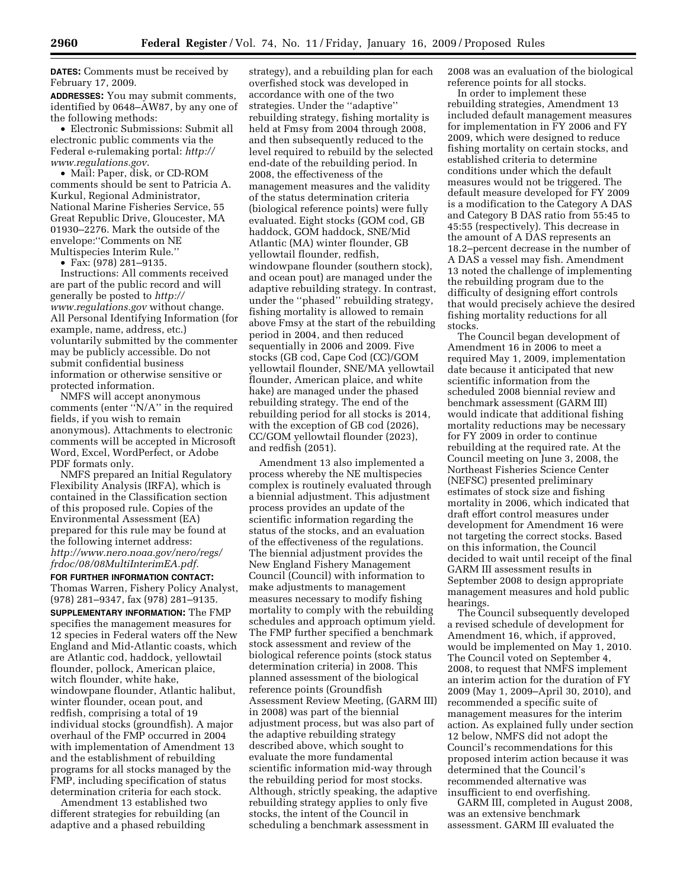**DATES:** Comments must be received by February 17, 2009.

**ADDRESSES:** You may submit comments, identified by 0648–AW87, by any one of the following methods:

• Electronic Submissions: Submit all electronic public comments via the Federal e-rulemaking portal: *http:// www.regulations.gov*.

• Mail: Paper, disk, or CD-ROM comments should be sent to Patricia A. Kurkul, Regional Administrator, National Marine Fisheries Service, 55 Great Republic Drive, Gloucester, MA 01930–2276. Mark the outside of the envelope:''Comments on NE Multispecies Interim Rule.''

• Fax: (978) 281–9135.

Instructions: All comments received are part of the public record and will generally be posted to *http:// www.regulations.gov* without change. All Personal Identifying Information (for example, name, address, etc.) voluntarily submitted by the commenter may be publicly accessible. Do not submit confidential business information or otherwise sensitive or protected information.

NMFS will accept anonymous comments (enter ''N/A'' in the required fields, if you wish to remain anonymous). Attachments to electronic comments will be accepted in Microsoft Word, Excel, WordPerfect, or Adobe PDF formats only.

NMFS prepared an Initial Regulatory Flexibility Analysis (IRFA), which is contained in the Classification section of this proposed rule. Copies of the Environmental Assessment (EA) prepared for this rule may be found at the following internet address: *http://www.nero.noaa.gov/nero/regs/ frdoc/08/08MultiInterimEA.pdf.* 

**FOR FURTHER INFORMATION CONTACT:**  Thomas Warren, Fishery Policy Analyst, (978) 281–9347, fax (978) 281–9135. **SUPPLEMENTARY INFORMATION:** The FMP specifies the management measures for 12 species in Federal waters off the New England and Mid-Atlantic coasts, which are Atlantic cod, haddock, yellowtail flounder, pollock, American plaice, witch flounder, white hake, windowpane flounder, Atlantic halibut, winter flounder, ocean pout, and redfish, comprising a total of 19 individual stocks (groundfish). A major overhaul of the FMP occurred in 2004 with implementation of Amendment 13 and the establishment of rebuilding programs for all stocks managed by the FMP, including specification of status determination criteria for each stock.

Amendment 13 established two different strategies for rebuilding (an adaptive and a phased rebuilding

strategy), and a rebuilding plan for each overfished stock was developed in accordance with one of the two strategies. Under the ''adaptive'' rebuilding strategy, fishing mortality is held at Fmsy from 2004 through 2008, and then subsequently reduced to the level required to rebuild by the selected end-date of the rebuilding period. In 2008, the effectiveness of the management measures and the validity of the status determination criteria (biological reference points) were fully evaluated. Eight stocks (GOM cod, GB haddock, GOM haddock, SNE/Mid Atlantic (MA) winter flounder, GB yellowtail flounder, redfish, windowpane flounder (southern stock), and ocean pout) are managed under the adaptive rebuilding strategy. In contrast, under the ''phased'' rebuilding strategy, fishing mortality is allowed to remain above Fmsy at the start of the rebuilding period in 2004, and then reduced sequentially in 2006 and 2009. Five stocks (GB cod, Cape Cod (CC)/GOM yellowtail flounder, SNE/MA yellowtail flounder, American plaice, and white hake) are managed under the phased rebuilding strategy. The end of the rebuilding period for all stocks is 2014, with the exception of GB cod (2026), CC/GOM yellowtail flounder (2023), and redfish (2051).

Amendment 13 also implemented a process whereby the NE multispecies complex is routinely evaluated through a biennial adjustment. This adjustment process provides an update of the scientific information regarding the status of the stocks, and an evaluation of the effectiveness of the regulations. The biennial adjustment provides the New England Fishery Management Council (Council) with information to make adjustments to management measures necessary to modify fishing mortality to comply with the rebuilding schedules and approach optimum yield. The FMP further specified a benchmark stock assessment and review of the biological reference points (stock status determination criteria) in 2008. This planned assessment of the biological reference points (Groundfish Assessment Review Meeting, (GARM III) in 2008) was part of the biennial adjustment process, but was also part of the adaptive rebuilding strategy described above, which sought to evaluate the more fundamental scientific information mid-way through the rebuilding period for most stocks. Although, strictly speaking, the adaptive rebuilding strategy applies to only five stocks, the intent of the Council in scheduling a benchmark assessment in

2008 was an evaluation of the biological reference points for all stocks.

In order to implement these rebuilding strategies, Amendment 13 included default management measures for implementation in FY 2006 and FY 2009, which were designed to reduce fishing mortality on certain stocks, and established criteria to determine conditions under which the default measures would not be triggered. The default measure developed for FY 2009 is a modification to the Category A DAS and Category B DAS ratio from 55:45 to 45:55 (respectively). This decrease in the amount of A DAS represents an 18.2–percent decrease in the number of A DAS a vessel may fish. Amendment 13 noted the challenge of implementing the rebuilding program due to the difficulty of designing effort controls that would precisely achieve the desired fishing mortality reductions for all stocks.

The Council began development of Amendment 16 in 2006 to meet a required May 1, 2009, implementation date because it anticipated that new scientific information from the scheduled 2008 biennial review and benchmark assessment (GARM III) would indicate that additional fishing mortality reductions may be necessary for FY 2009 in order to continue rebuilding at the required rate. At the Council meeting on June 3, 2008, the Northeast Fisheries Science Center (NEFSC) presented preliminary estimates of stock size and fishing mortality in 2006, which indicated that draft effort control measures under development for Amendment 16 were not targeting the correct stocks. Based on this information, the Council decided to wait until receipt of the final GARM III assessment results in September 2008 to design appropriate management measures and hold public hearings.

The Council subsequently developed a revised schedule of development for Amendment 16, which, if approved, would be implemented on May 1, 2010. The Council voted on September 4, 2008, to request that NMFS implement an interim action for the duration of FY 2009 (May 1, 2009–April 30, 2010), and recommended a specific suite of management measures for the interim action. As explained fully under section 12 below, NMFS did not adopt the Council's recommendations for this proposed interim action because it was determined that the Council's recommended alternative was insufficient to end overfishing.

GARM III, completed in August 2008, was an extensive benchmark assessment. GARM III evaluated the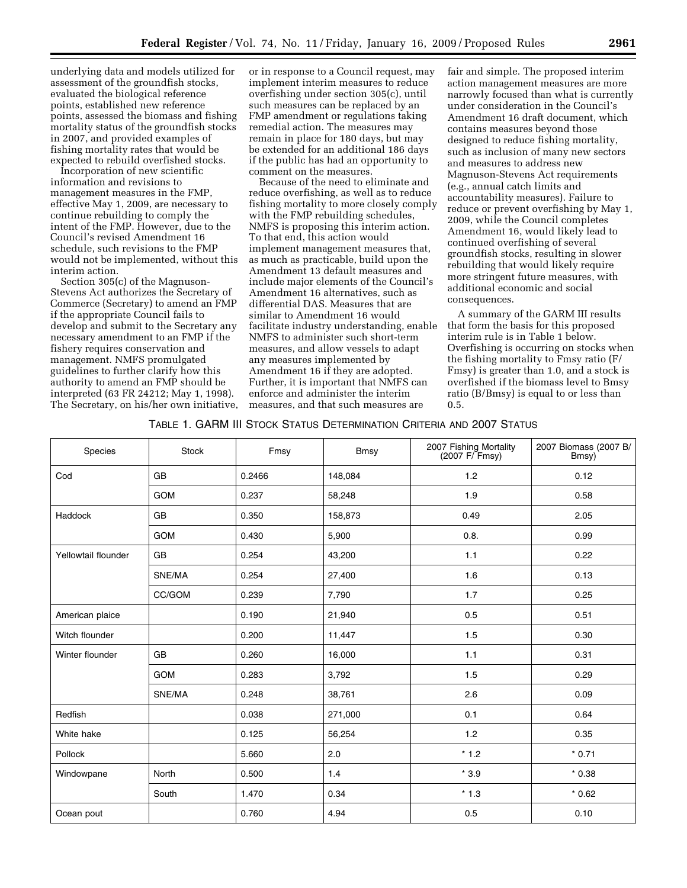underlying data and models utilized for assessment of the groundfish stocks, evaluated the biological reference points, established new reference points, assessed the biomass and fishing mortality status of the groundfish stocks in 2007, and provided examples of fishing mortality rates that would be expected to rebuild overfished stocks.

Incorporation of new scientific information and revisions to management measures in the FMP, effective May 1, 2009, are necessary to continue rebuilding to comply the intent of the FMP. However, due to the Council's revised Amendment 16 schedule, such revisions to the FMP would not be implemented, without this interim action.

Section 305(c) of the Magnuson-Stevens Act authorizes the Secretary of Commerce (Secretary) to amend an FMP if the appropriate Council fails to develop and submit to the Secretary any necessary amendment to an FMP if the fishery requires conservation and management. NMFS promulgated guidelines to further clarify how this authority to amend an FMP should be interpreted (63 FR 24212; May 1, 1998). The Secretary, on his/her own initiative,

or in response to a Council request, may implement interim measures to reduce overfishing under section 305(c), until such measures can be replaced by an FMP amendment or regulations taking remedial action. The measures may remain in place for 180 days, but may be extended for an additional 186 days if the public has had an opportunity to comment on the measures.

Because of the need to eliminate and reduce overfishing, as well as to reduce fishing mortality to more closely comply with the FMP rebuilding schedules, NMFS is proposing this interim action. To that end, this action would implement management measures that, as much as practicable, build upon the Amendment 13 default measures and include major elements of the Council's Amendment 16 alternatives, such as differential DAS. Measures that are similar to Amendment 16 would facilitate industry understanding, enable NMFS to administer such short-term measures, and allow vessels to adapt any measures implemented by Amendment 16 if they are adopted. Further, it is important that NMFS can enforce and administer the interim measures, and that such measures are

fair and simple. The proposed interim action management measures are more narrowly focused than what is currently under consideration in the Council's Amendment 16 draft document, which contains measures beyond those designed to reduce fishing mortality, such as inclusion of many new sectors and measures to address new Magnuson-Stevens Act requirements (e.g., annual catch limits and accountability measures). Failure to reduce or prevent overfishing by May 1, 2009, while the Council completes Amendment 16, would likely lead to continued overfishing of several groundfish stocks, resulting in slower rebuilding that would likely require more stringent future measures, with additional economic and social consequences.

A summary of the GARM III results that form the basis for this proposed interim rule is in Table 1 below. Overfishing is occurring on stocks when the fishing mortality to Fmsy ratio (F/ Fmsy) is greater than 1.0, and a stock is overfished if the biomass level to Bmsy ratio (B/Bmsy) is equal to or less than 0.5.

TABLE 1. GARM III STOCK STATUS DETERMINATION CRITERIA AND 2007 STATUS

| Species             | <b>Stock</b> | Fmsy   | <b>Bmsy</b> | 2007 Fishing Mortality<br>(2007 F/ Fmsy) | 2007 Biomass (2007 B/<br>Bmsy) |
|---------------------|--------------|--------|-------------|------------------------------------------|--------------------------------|
| Cod                 | <b>GB</b>    | 0.2466 | 148,084     | 1.2                                      | 0.12                           |
|                     | <b>GOM</b>   | 0.237  | 58,248      | 1.9                                      | 0.58                           |
| Haddock             | GB           | 0.350  | 158,873     | 0.49                                     | 2.05                           |
|                     | <b>GOM</b>   | 0.430  | 5,900       | 0.8.                                     | 0.99                           |
| Yellowtail flounder | GB           | 0.254  | 43,200      | 1.1                                      | 0.22                           |
|                     | SNE/MA       | 0.254  | 27,400      | 1.6                                      | 0.13                           |
|                     | CC/GOM       | 0.239  | 7,790       | 1.7                                      | 0.25                           |
| American plaice     |              | 0.190  | 21,940      | 0.5                                      | 0.51                           |
| Witch flounder      |              | 0.200  | 11,447      | 1.5                                      | 0.30                           |
| Winter flounder     | <b>GB</b>    | 0.260  | 16,000      | 1.1                                      | 0.31                           |
|                     | <b>GOM</b>   | 0.283  | 3,792       | 1.5                                      | 0.29                           |
|                     | SNE/MA       | 0.248  | 38,761      | 2.6                                      | 0.09                           |
| Redfish             |              | 0.038  | 271,000     | 0.1                                      | 0.64                           |
| White hake          |              | 0.125  | 56,254      | 1.2                                      | 0.35                           |
| Pollock             |              | 5.660  | 2.0         | $^{\star}$ 1.2                           | $*0.71$                        |
| Windowpane          | North        | 0.500  | 1.4         | $*3.9$                                   | $*0.38$                        |
|                     | South        | 1.470  | 0.34        | $*1.3$                                   | $*0.62$                        |
| Ocean pout          |              | 0.760  | 4.94        | 0.5                                      | 0.10                           |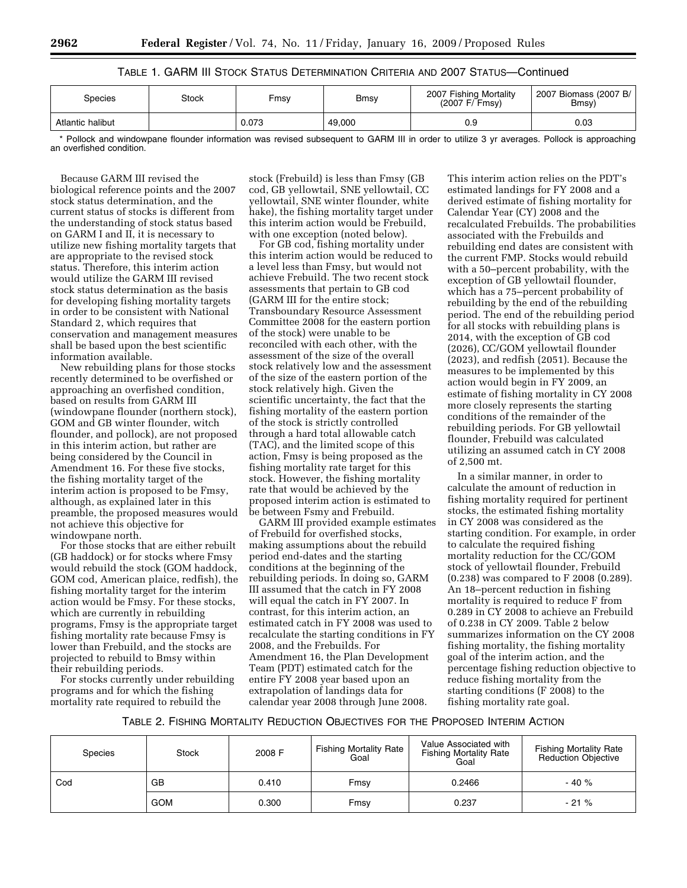## TABLE 1. GARM III STOCK STATUS DETERMINATION CRITERIA AND 2007 STATUS—Continued

| Species          | Stock | Fmsv  | Bmsy   | 2007 Fishing Mortality<br>(2007 F/ Fmsy) | 2007 Biomass (2007 B/<br>Bmsy) |
|------------------|-------|-------|--------|------------------------------------------|--------------------------------|
| Atlantic halibut |       | 0.073 | 49,000 | 0.9                                      | 0.03                           |

\* Pollock and windowpane flounder information was revised subsequent to GARM III in order to utilize 3 yr averages. Pollock is approaching an overfished condition.

Because GARM III revised the biological reference points and the 2007 stock status determination, and the current status of stocks is different from the understanding of stock status based on GARM I and II, it is necessary to utilize new fishing mortality targets that are appropriate to the revised stock status. Therefore, this interim action would utilize the GARM III revised stock status determination as the basis for developing fishing mortality targets in order to be consistent with National Standard 2, which requires that conservation and management measures shall be based upon the best scientific information available.

New rebuilding plans for those stocks recently determined to be overfished or approaching an overfished condition, based on results from GARM III (windowpane flounder (northern stock), GOM and GB winter flounder, witch flounder, and pollock), are not proposed in this interim action, but rather are being considered by the Council in Amendment 16. For these five stocks, the fishing mortality target of the interim action is proposed to be Fmsy, although, as explained later in this preamble, the proposed measures would not achieve this objective for windowpane north.

For those stocks that are either rebuilt (GB haddock) or for stocks where Fmsy would rebuild the stock (GOM haddock, GOM cod, American plaice, redfish), the fishing mortality target for the interim action would be Fmsy. For these stocks, which are currently in rebuilding programs, Fmsy is the appropriate target fishing mortality rate because Fmsy is lower than Frebuild, and the stocks are projected to rebuild to Bmsy within their rebuilding periods.

For stocks currently under rebuilding programs and for which the fishing mortality rate required to rebuild the

stock (Frebuild) is less than Fmsy (GB cod, GB yellowtail, SNE yellowtail, CC yellowtail, SNE winter flounder, white hake), the fishing mortality target under this interim action would be Frebuild, with one exception (noted below).

For GB cod, fishing mortality under this interim action would be reduced to a level less than Fmsy, but would not achieve Frebuild. The two recent stock assessments that pertain to GB cod (GARM III for the entire stock; Transboundary Resource Assessment Committee 2008 for the eastern portion of the stock) were unable to be reconciled with each other, with the assessment of the size of the overall stock relatively low and the assessment of the size of the eastern portion of the stock relatively high. Given the scientific uncertainty, the fact that the fishing mortality of the eastern portion of the stock is strictly controlled through a hard total allowable catch (TAC), and the limited scope of this action, Fmsy is being proposed as the fishing mortality rate target for this stock. However, the fishing mortality rate that would be achieved by the proposed interim action is estimated to be between Fsmy and Frebuild.

GARM III provided example estimates of Frebuild for overfished stocks, making assumptions about the rebuild period end-dates and the starting conditions at the beginning of the rebuilding periods. In doing so, GARM III assumed that the catch in FY 2008 will equal the catch in FY 2007. In contrast, for this interim action, an estimated catch in FY 2008 was used to recalculate the starting conditions in FY 2008, and the Frebuilds. For Amendment 16, the Plan Development Team (PDT) estimated catch for the entire FY 2008 year based upon an extrapolation of landings data for calendar year 2008 through June 2008.

This interim action relies on the PDT's estimated landings for FY 2008 and a derived estimate of fishing mortality for Calendar Year (CY) 2008 and the recalculated Frebuilds. The probabilities associated with the Frebuilds and rebuilding end dates are consistent with the current FMP. Stocks would rebuild with a 50–percent probability, with the exception of GB yellowtail flounder, which has a 75–percent probability of rebuilding by the end of the rebuilding period. The end of the rebuilding period for all stocks with rebuilding plans is 2014, with the exception of GB cod (2026), CC/GOM yellowtail flounder (2023), and redfish (2051). Because the measures to be implemented by this action would begin in FY 2009, an estimate of fishing mortality in CY 2008 more closely represents the starting conditions of the remainder of the rebuilding periods. For GB yellowtail flounder, Frebuild was calculated utilizing an assumed catch in CY 2008 of 2,500 mt.

In a similar manner, in order to calculate the amount of reduction in fishing mortality required for pertinent stocks, the estimated fishing mortality in CY 2008 was considered as the starting condition. For example, in order to calculate the required fishing mortality reduction for the CC/GOM stock of yellowtail flounder, Frebuild (0.238) was compared to F 2008 (0.289). An 18–percent reduction in fishing mortality is required to reduce F from 0.289 in CY 2008 to achieve an Frebuild of 0.238 in CY 2009. Table 2 below summarizes information on the CY 2008 fishing mortality, the fishing mortality goal of the interim action, and the percentage fishing reduction objective to reduce fishing mortality from the starting conditions (F 2008) to the fishing mortality rate goal.

TABLE 2. FISHING MORTALITY REDUCTION OBJECTIVES FOR THE PROPOSED INTERIM ACTION

| <b>Species</b> | <b>Stock</b> | 2008 F | <b>Fishing Mortality Rate</b><br>Goal | Value Associated with<br><b>Fishing Mortality Rate</b><br>Goal |        |
|----------------|--------------|--------|---------------------------------------|----------------------------------------------------------------|--------|
| Cod            | GB           | 0.410  | Fmsv                                  | 0.2466                                                         | $-40%$ |
|                | <b>GOM</b>   | 0.300  | Fmsy                                  | 0.237                                                          | $-21%$ |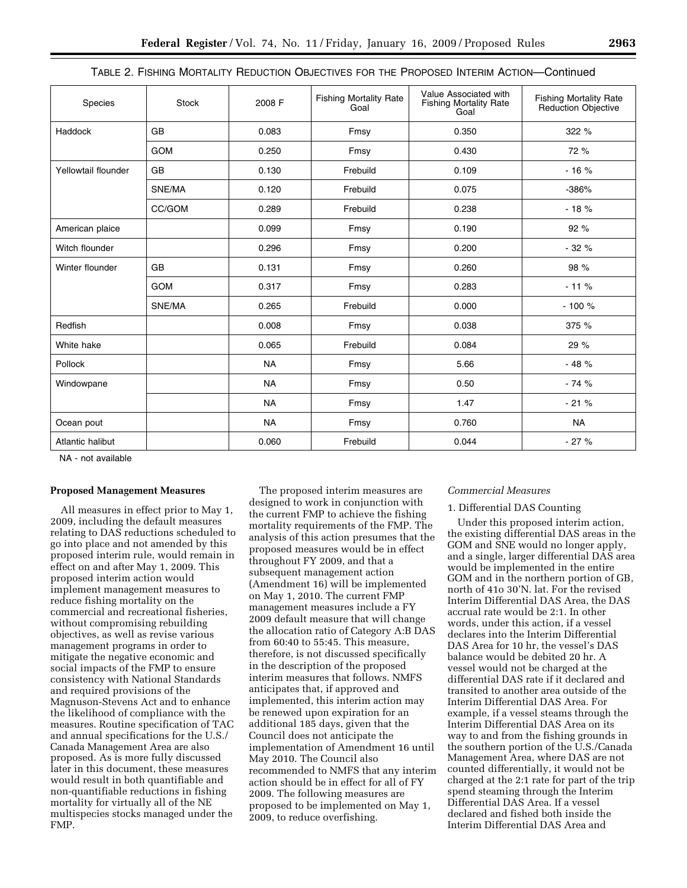|  | TABLE 2. FISHING MORTALITY REDUCTION OBJECTIVES FOR THE PROPOSED INTERIM ACTION—Continued |
|--|-------------------------------------------------------------------------------------------|
|--|-------------------------------------------------------------------------------------------|

| Species             | <b>Stock</b> | 2008 F    | <b>Fishing Mortality Rate</b><br>Goal | Value Associated with<br><b>Fishing Mortality Rate</b><br>Goal | Fishing Mortality Rate<br>Reduction Objective |
|---------------------|--------------|-----------|---------------------------------------|----------------------------------------------------------------|-----------------------------------------------|
| <b>Haddock</b>      | <b>GB</b>    | 0.083     | Fmsy                                  | 0.350                                                          | 322 %                                         |
|                     | <b>GOM</b>   | 0.250     | Fmsy                                  | 0.430                                                          | 72 %                                          |
| Yellowtail flounder | <b>GB</b>    | 0.130     | Frebuild                              | 0.109                                                          | $-16%$                                        |
|                     | SNE/MA       | 0.120     | Frebuild                              | 0.075                                                          | $-386%$                                       |
|                     | CC/GOM       | 0.289     | Frebuild                              | 0.238                                                          | $-18%$                                        |
| American plaice     |              | 0.099     | Fmsy                                  | 0.190                                                          | 92 %                                          |
| Witch flounder      |              | 0.296     | Fmsy                                  | 0.200                                                          | $-32%$                                        |
| Winter flounder     | <b>GB</b>    | 0.131     | Fmsy                                  | 0.260                                                          | 98 %                                          |
|                     | <b>GOM</b>   | 0.317     | Fmsy                                  | 0.283                                                          | $-11%$                                        |
|                     | SNE/MA       | 0.265     | Frebuild                              | 0.000                                                          | $-100%$                                       |
| Redfish             |              | 0.008     | Fmsy                                  | 0.038                                                          | 375 %                                         |
| White hake          |              | 0.065     | Frebuild                              | 0.084                                                          | 29 %                                          |
| Pollock             |              | <b>NA</b> | Fmsy                                  | 5.66                                                           | $-48%$                                        |
| Windowpane          |              | <b>NA</b> | Fmsy                                  | 0.50                                                           | $-74%$                                        |
|                     |              | <b>NA</b> | Fmsy                                  | 1.47                                                           | $-21%$                                        |
| Ocean pout          |              | <b>NA</b> | Fmsy                                  | 0.760                                                          | <b>NA</b>                                     |
| Atlantic halibut    |              | 0.060     | Frebuild                              | 0.044                                                          | $-27%$                                        |

NA - not available

#### **Proposed Management Measures**

All measures in effect prior to May 1, 2009, including the default measures relating to DAS reductions scheduled to go into place and not amended by this proposed interim rule, would remain in effect on and after May 1, 2009. This proposed interim action would implement management measures to reduce fishing mortality on the commercial and recreational fisheries, without compromising rebuilding objectives, as well as revise various management programs in order to mitigate the negative economic and social impacts of the FMP to ensure consistency with National Standards and required provisions of the Magnuson-Stevens Act and to enhance the likelihood of compliance with the measures. Routine specification of TAC and annual specifications for the U.S./ Canada Management Area are also proposed. As is more fully discussed later in this document, these measures would result in both quantifiable and non-quantifiable reductions in fishing mortality for virtually all of the NE multispecies stocks managed under the FMP.

The proposed interim measures are designed to work in conjunction with the current FMP to achieve the fishing mortality requirements of the FMP. The analysis of this action presumes that the proposed measures would be in effect throughout FY 2009, and that a subsequent management action (Amendment 16) will be implemented on May 1, 2010. The current FMP management measures include a FY 2009 default measure that will change the allocation ratio of Category A:B DAS from 60:40 to 55:45. This measure, therefore, is not discussed specifically in the description of the proposed interim measures that follows. NMFS anticipates that, if approved and implemented, this interim action may be renewed upon expiration for an additional 185 days, given that the Council does not anticipate the implementation of Amendment 16 until May 2010. The Council also recommended to NMFS that any interim action should be in effect for all of FY 2009. The following measures are proposed to be implemented on May 1, 2009, to reduce overfishing.

#### *Commercial Measures*

#### 1. Differential DAS Counting

Under this proposed interim action, the existing differential DAS areas in the GOM and SNE would no longer apply, and a single, larger differential DAS area would be implemented in the entire GOM and in the northern portion of GB, north of 41o 30'N. lat. For the revised Interim Differential DAS Area, the DAS accrual rate would be 2:1. In other words, under this action, if a vessel declares into the Interim Differential DAS Area for 10 hr, the vessel's DAS balance would be debited 20 hr. A vessel would not be charged at the differential DAS rate if it declared and transited to another area outside of the Interim Differential DAS Area. For example, if a vessel steams through the Interim Differential DAS Area on its way to and from the fishing grounds in the southern portion of the U.S./Canada Management Area, where DAS are not counted differentially, it would not be charged at the 2:1 rate for part of the trip spend steaming through the Interim Differential DAS Area. If a vessel declared and fished both inside the Interim Differential DAS Area and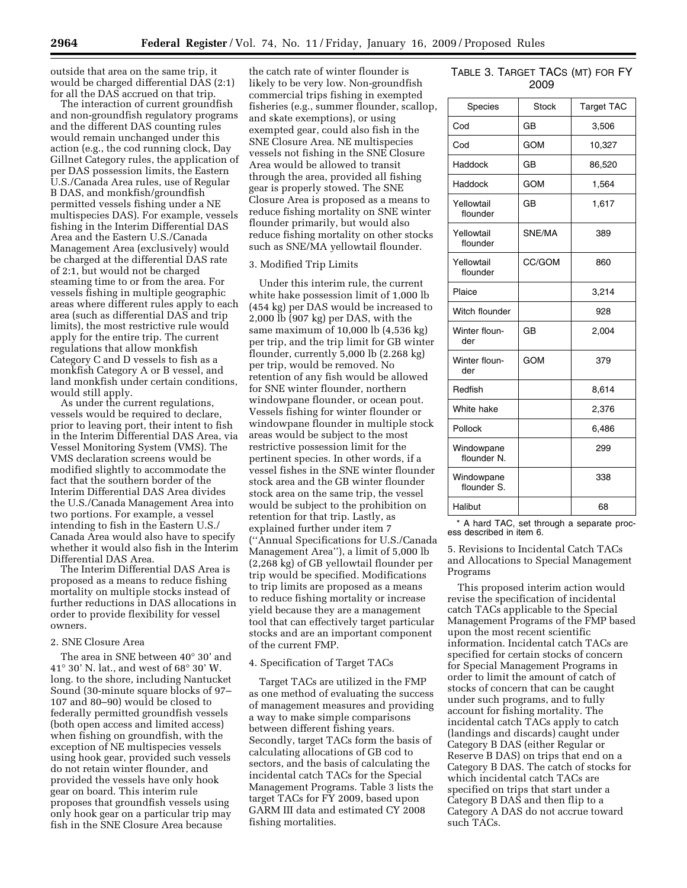outside that area on the same trip, it would be charged differential DAS (2:1) for all the DAS accrued on that trip.

The interaction of current groundfish and non-groundfish regulatory programs and the different DAS counting rules would remain unchanged under this action (e.g., the cod running clock, Day Gillnet Category rules, the application of per DAS possession limits, the Eastern U.S./Canada Area rules, use of Regular B DAS, and monkfish/groundfish permitted vessels fishing under a NE multispecies DAS). For example, vessels fishing in the Interim Differential DAS Area and the Eastern U.S./Canada Management Area (exclusively) would be charged at the differential DAS rate of 2:1, but would not be charged steaming time to or from the area. For vessels fishing in multiple geographic areas where different rules apply to each area (such as differential DAS and trip limits), the most restrictive rule would apply for the entire trip. The current regulations that allow monkfish Category C and D vessels to fish as a monkfish Category A or B vessel, and land monkfish under certain conditions, would still apply.

As under the current regulations, vessels would be required to declare, prior to leaving port, their intent to fish in the Interim Differential DAS Area, via Vessel Monitoring System (VMS). The VMS declaration screens would be modified slightly to accommodate the fact that the southern border of the Interim Differential DAS Area divides the U.S./Canada Management Area into two portions. For example, a vessel intending to fish in the Eastern U.S./ Canada Area would also have to specify whether it would also fish in the Interim Differential DAS Area.

The Interim Differential DAS Area is proposed as a means to reduce fishing mortality on multiple stocks instead of further reductions in DAS allocations in order to provide flexibility for vessel owners.

### 2. SNE Closure Area

The area in SNE between 40° 30' and 41° 30' N. lat., and west of 68° 30' W. long. to the shore, including Nantucket Sound (30-minute square blocks of 97– 107 and 80–90) would be closed to federally permitted groundfish vessels (both open access and limited access) when fishing on groundfish, with the exception of NE multispecies vessels using hook gear, provided such vessels do not retain winter flounder, and provided the vessels have only hook gear on board. This interim rule proposes that groundfish vessels using only hook gear on a particular trip may fish in the SNE Closure Area because

the catch rate of winter flounder is likely to be very low. Non-groundfish commercial trips fishing in exempted fisheries (e.g., summer flounder, scallop, and skate exemptions), or using exempted gear, could also fish in the SNE Closure Area. NE multispecies vessels not fishing in the SNE Closure Area would be allowed to transit through the area, provided all fishing gear is properly stowed. The SNE Closure Area is proposed as a means to reduce fishing mortality on SNE winter flounder primarily, but would also reduce fishing mortality on other stocks such as SNE/MA yellowtail flounder.

### 3. Modified Trip Limits

Under this interim rule, the current white hake possession limit of 1,000 lb (454 kg) per DAS would be increased to 2,000 lb (907 kg) per DAS, with the same maximum of 10,000 lb (4,536 kg) per trip, and the trip limit for GB winter flounder, currently 5,000 lb (2.268 kg) per trip, would be removed. No retention of any fish would be allowed for SNE winter flounder, northern windowpane flounder, or ocean pout. Vessels fishing for winter flounder or windowpane flounder in multiple stock areas would be subject to the most restrictive possession limit for the pertinent species. In other words, if a vessel fishes in the SNE winter flounder stock area and the GB winter flounder stock area on the same trip, the vessel would be subject to the prohibition on retention for that trip. Lastly, as explained further under item 7 (''Annual Specifications for U.S./Canada Management Area''), a limit of 5,000 lb (2,268 kg) of GB yellowtail flounder per trip would be specified. Modifications to trip limits are proposed as a means to reduce fishing mortality or increase yield because they are a management tool that can effectively target particular stocks and are an important component of the current FMP.

#### 4. Specification of Target TACs

Target TACs are utilized in the FMP as one method of evaluating the success of management measures and providing a way to make simple comparisons between different fishing years. Secondly, target TACs form the basis of calculating allocations of GB cod to sectors, and the basis of calculating the incidental catch TACs for the Special Management Programs. Table 3 lists the target TACs for FY 2009, based upon GARM III data and estimated CY 2008 fishing mortalities.

# TABLE 3. TARGET TACS (MT) FOR FY 2009

| Species                   | Stock      | <b>Target TAC</b> |
|---------------------------|------------|-------------------|
| Cod                       | GB         | 3,506             |
| Cod                       | <b>GOM</b> | 10,327            |
| Haddock                   | GB         | 86,520            |
| Haddock                   | <b>GOM</b> | 1,564             |
| Yellowtail<br>flounder    | GB         | 1,617             |
| Yellowtail<br>flounder    | SNE/MA     | 389               |
| Yellowtail<br>flounder    | CC/GOM     | 860               |
| Plaice                    |            | 3,214             |
| Witch flounder            |            | 928               |
| Winter floun-<br>der      | GB         | 2,004             |
| Winter floun-<br>der      | <b>GOM</b> | 379               |
| Redfish                   |            | 8,614             |
| White hake                |            | 2,376             |
| Pollock                   |            | 6,486             |
| Windowpane<br>flounder N. |            | 299               |
| Windowpane<br>flounder S. |            | 338               |
| Halibut                   |            | 68                |

\* A hard TAC, set through a separate process described in item 6.

5. Revisions to Incidental Catch TACs and Allocations to Special Management Programs

This proposed interim action would revise the specification of incidental catch TACs applicable to the Special Management Programs of the FMP based upon the most recent scientific information. Incidental catch TACs are specified for certain stocks of concern for Special Management Programs in order to limit the amount of catch of stocks of concern that can be caught under such programs, and to fully account for fishing mortality. The incidental catch TACs apply to catch (landings and discards) caught under Category B DAS (either Regular or Reserve B DAS) on trips that end on a Category B DAS. The catch of stocks for which incidental catch TACs are specified on trips that start under a Category B DAS and then flip to a Category A DAS do not accrue toward such TACs.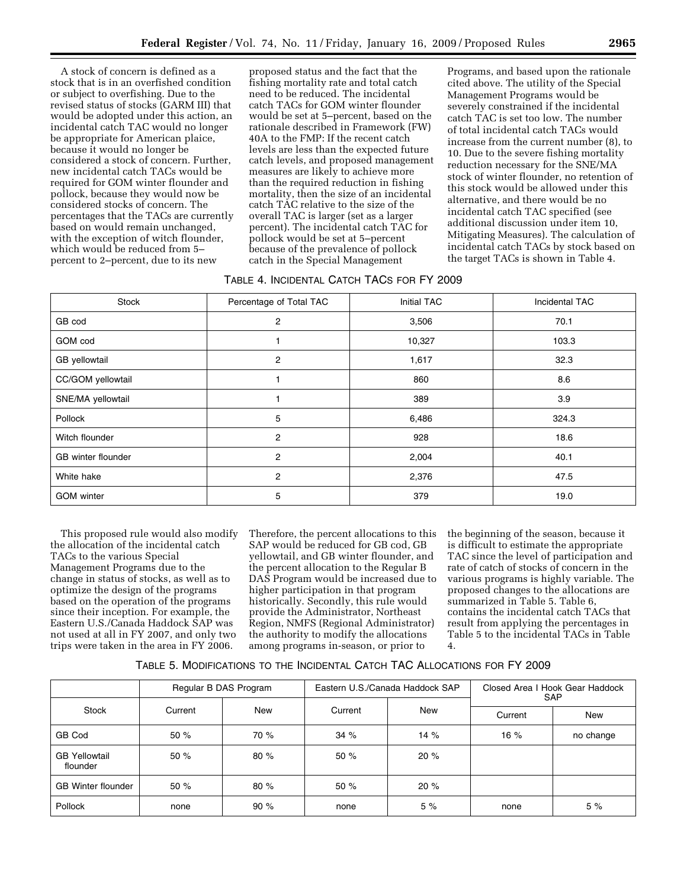A stock of concern is defined as a stock that is in an overfished condition or subject to overfishing. Due to the revised status of stocks (GARM III) that would be adopted under this action, an incidental catch TAC would no longer be appropriate for American plaice, because it would no longer be considered a stock of concern. Further, new incidental catch TACs would be required for GOM winter flounder and pollock, because they would now be considered stocks of concern. The percentages that the TACs are currently based on would remain unchanged, with the exception of witch flounder, which would be reduced from 5– percent to 2–percent, due to its new

proposed status and the fact that the fishing mortality rate and total catch need to be reduced. The incidental catch TACs for GOM winter flounder would be set at 5–percent, based on the rationale described in Framework (FW) 40A to the FMP: If the recent catch levels are less than the expected future catch levels, and proposed management measures are likely to achieve more than the required reduction in fishing mortality, then the size of an incidental catch TAC relative to the size of the overall TAC is larger (set as a larger percent). The incidental catch TAC for pollock would be set at 5–percent because of the prevalence of pollock catch in the Special Management

Programs, and based upon the rationale cited above. The utility of the Special Management Programs would be severely constrained if the incidental catch TAC is set too low. The number of total incidental catch TACs would increase from the current number (8), to 10. Due to the severe fishing mortality reduction necessary for the SNE/MA stock of winter flounder, no retention of this stock would be allowed under this alternative, and there would be no incidental catch TAC specified (see additional discussion under item 10, Mitigating Measures). The calculation of incidental catch TACs by stock based on the target TACs is shown in Table 4.

### TABLE 4. INCIDENTAL CATCH TACS FOR FY 2009

| Stock              | Percentage of Total TAC | Initial TAC | Incidental TAC |
|--------------------|-------------------------|-------------|----------------|
| GB cod             | 2                       | 3,506       | 70.1           |
| GOM cod            |                         | 10,327      | 103.3          |
| GB yellowtail      | 2                       | 1,617       | 32.3           |
| CC/GOM yellowtail  |                         | 860         | 8.6            |
| SNE/MA yellowtail  |                         | 389         | 3.9            |
| Pollock            | 5                       | 6,486       | 324.3          |
| Witch flounder     | 2                       | 928         | 18.6           |
| GB winter flounder | 2                       | 2,004       | 40.1           |
| White hake         | 2                       | 2,376       | 47.5           |
| <b>GOM</b> winter  | 5                       | 379         | 19.0           |

This proposed rule would also modify the allocation of the incidental catch TACs to the various Special Management Programs due to the change in status of stocks, as well as to optimize the design of the programs based on the operation of the programs since their inception. For example, the Eastern U.S./Canada Haddock SAP was not used at all in FY 2007, and only two trips were taken in the area in FY 2006.

Therefore, the percent allocations to this SAP would be reduced for GB cod, GB yellowtail, and GB winter flounder, and the percent allocation to the Regular B DAS Program would be increased due to higher participation in that program historically. Secondly, this rule would provide the Administrator, Northeast Region, NMFS (Regional Administrator) the authority to modify the allocations among programs in-season, or prior to

the beginning of the season, because it is difficult to estimate the appropriate TAC since the level of participation and rate of catch of stocks of concern in the various programs is highly variable. The proposed changes to the allocations are summarized in Table 5. Table 6, contains the incidental catch TACs that result from applying the percentages in Table 5 to the incidental TACs in Table 4.

| TABLE 5. MODIFICATIONS TO THE INCIDENTAL CATCH TAC ALLOCATIONS FOR FY 2009 |  |
|----------------------------------------------------------------------------|--|
|----------------------------------------------------------------------------|--|

|                                  | Regular B DAS Program |      |         | Eastern U.S./Canada Haddock SAP | Closed Area I Hook Gear Haddock<br><b>SAP</b> |           |
|----------------------------------|-----------------------|------|---------|---------------------------------|-----------------------------------------------|-----------|
| Stock                            | Current               | New  | Current | <b>New</b>                      | Current                                       | New       |
| GB Cod                           | 50%                   | 70 % | 34%     | 14%                             | 16%                                           | no change |
| <b>GB Yellowtail</b><br>flounder | 50 %                  | 80%  | 50%     | 20%                             |                                               |           |
| <b>GB Winter flounder</b>        | 50%                   | 80%  | 50%     | 20%                             |                                               |           |
| <b>Pollock</b>                   | none                  | 90%  | none    | 5%                              | none                                          | 5%        |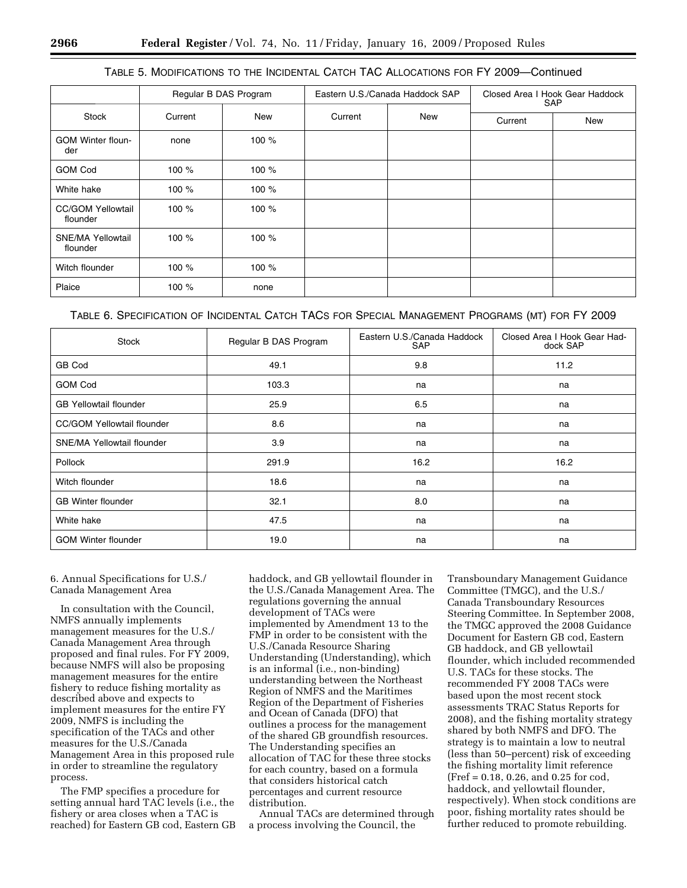## TABLE 5. MODIFICATIONS TO THE INCIDENTAL CATCH TAC ALLOCATIONS FOR FY 2009—Continued

|                                      |         | Regular B DAS Program |         | Eastern U.S./Canada Haddock SAP | Closed Area I Hook Gear Haddock<br><b>SAP</b> |     |
|--------------------------------------|---------|-----------------------|---------|---------------------------------|-----------------------------------------------|-----|
| <b>Stock</b>                         | Current | <b>New</b>            | Current | New                             | Current                                       | New |
| <b>GOM Winter floun-</b><br>der      | none    | 100 %                 |         |                                 |                                               |     |
| <b>GOM Cod</b>                       | 100 $%$ | 100 $%$               |         |                                 |                                               |     |
| White hake                           | 100 $%$ | 100 %                 |         |                                 |                                               |     |
| <b>CC/GOM Yellowtail</b><br>flounder | 100 $%$ | 100 %                 |         |                                 |                                               |     |
| <b>SNE/MA Yellowtail</b><br>flounder | 100 $%$ | 100 %                 |         |                                 |                                               |     |
| Witch flounder                       | 100 $%$ | 100 %                 |         |                                 |                                               |     |
| Plaice                               | 100 %   | none                  |         |                                 |                                               |     |

TABLE 6. SPECIFICATION OF INCIDENTAL CATCH TACS FOR SPECIAL MANAGEMENT PROGRAMS (MT) FOR FY 2009

| Stock                             | Regular B DAS Program | Eastern U.S./Canada Haddock<br>SAP | Closed Area I Hook Gear Had-<br>dock SAP |
|-----------------------------------|-----------------------|------------------------------------|------------------------------------------|
| GB Cod                            | 49.1                  | 9.8                                | 11.2                                     |
| <b>GOM Cod</b>                    | 103.3                 | na                                 | na                                       |
| <b>GB Yellowtail flounder</b>     | 25.9                  | 6.5                                | na                                       |
| <b>CC/GOM Yellowtail flounder</b> | 8.6                   | na                                 | na                                       |
| <b>SNE/MA Yellowtail flounder</b> | 3.9                   | na                                 | na                                       |
| Pollock                           | 291.9                 | 16.2                               | 16.2                                     |
| Witch flounder                    | 18.6                  | na                                 | na                                       |
| <b>GB Winter flounder</b>         | 32.1                  | 8.0                                | na                                       |
| White hake                        | 47.5                  | na                                 | na                                       |
| <b>GOM Winter flounder</b>        | 19.0                  | na                                 | na                                       |

## 6. Annual Specifications for U.S./ Canada Management Area

In consultation with the Council, NMFS annually implements management measures for the U.S./ Canada Management Area through proposed and final rules. For FY 2009, because NMFS will also be proposing management measures for the entire fishery to reduce fishing mortality as described above and expects to implement measures for the entire FY 2009, NMFS is including the specification of the TACs and other measures for the U.S./Canada Management Area in this proposed rule in order to streamline the regulatory process.

The FMP specifies a procedure for setting annual hard TAC levels (i.e., the fishery or area closes when a TAC is reached) for Eastern GB cod, Eastern GB haddock, and GB yellowtail flounder in the U.S./Canada Management Area. The regulations governing the annual development of TACs were implemented by Amendment 13 to the FMP in order to be consistent with the U.S./Canada Resource Sharing Understanding (Understanding), which is an informal (i.e., non-binding) understanding between the Northeast Region of NMFS and the Maritimes Region of the Department of Fisheries and Ocean of Canada (DFO) that outlines a process for the management of the shared GB groundfish resources. The Understanding specifies an allocation of TAC for these three stocks for each country, based on a formula that considers historical catch percentages and current resource distribution.

Annual TACs are determined through a process involving the Council, the

Transboundary Management Guidance Committee (TMGC), and the U.S./ Canada Transboundary Resources Steering Committee. In September 2008, the TMGC approved the 2008 Guidance Document for Eastern GB cod, Eastern GB haddock, and GB yellowtail flounder, which included recommended U.S. TACs for these stocks. The recommended FY 2008 TACs were based upon the most recent stock assessments TRAC Status Reports for 2008), and the fishing mortality strategy shared by both NMFS and DFO. The strategy is to maintain a low to neutral (less than 50–percent) risk of exceeding the fishing mortality limit reference (Fref = 0.18, 0.26, and 0.25 for cod, haddock, and yellowtail flounder, respectively). When stock conditions are poor, fishing mortality rates should be further reduced to promote rebuilding.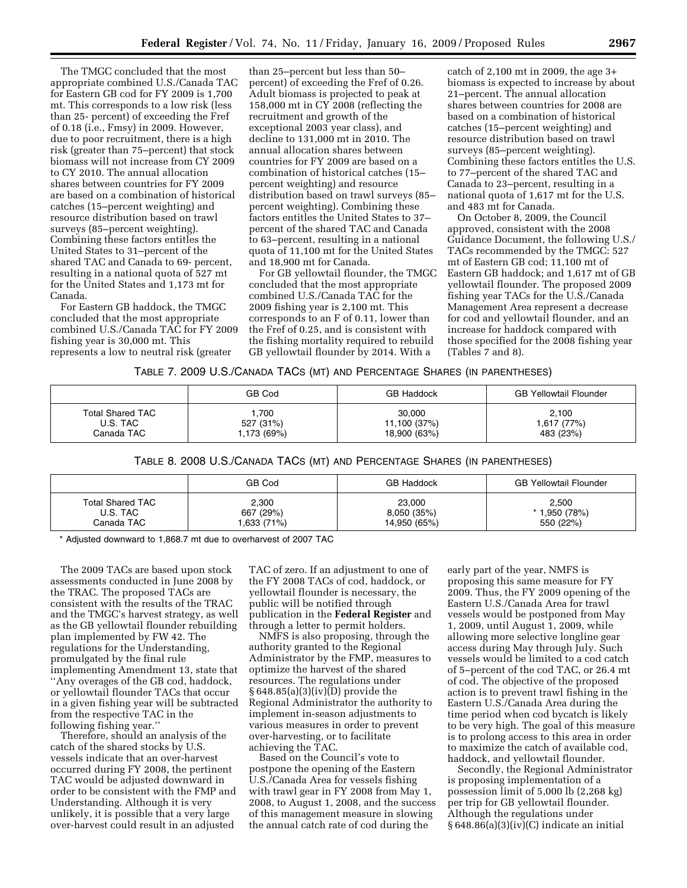The TMGC concluded that the most appropriate combined U.S./Canada TAC for Eastern GB cod for FY 2009 is 1,700 mt. This corresponds to a low risk (less than 25- percent) of exceeding the Fref of 0.18 (i.e., Fmsy) in 2009. However, due to poor recruitment, there is a high risk (greater than 75–percent) that stock biomass will not increase from CY 2009 to CY 2010. The annual allocation shares between countries for FY 2009 are based on a combination of historical catches (15–percent weighting) and resource distribution based on trawl surveys (85–percent weighting). Combining these factors entitles the United States to 31–percent of the shared TAC and Canada to 69- percent, resulting in a national quota of 527 mt for the United States and 1,173 mt for Canada.

For Eastern GB haddock, the TMGC concluded that the most appropriate combined U.S./Canada TAC for FY 2009 fishing year is 30,000 mt. This represents a low to neutral risk (greater

than 25–percent but less than 50– percent) of exceeding the Fref of 0.26. Adult biomass is projected to peak at 158,000 mt in CY 2008 (reflecting the recruitment and growth of the exceptional 2003 year class), and decline to 131,000 mt in 2010. The annual allocation shares between countries for FY 2009 are based on a combination of historical catches (15– percent weighting) and resource distribution based on trawl surveys (85– percent weighting). Combining these factors entitles the United States to 37– percent of the shared TAC and Canada to 63–percent, resulting in a national quota of 11,100 mt for the United States and 18,900 mt for Canada.

For GB yellowtail flounder, the TMGC concluded that the most appropriate combined U.S./Canada TAC for the 2009 fishing year is 2,100 mt. This corresponds to an F of 0.11, lower than the Fref of 0.25, and is consistent with the fishing mortality required to rebuild GB yellowtail flounder by 2014. With a

catch of 2,100 mt in 2009, the age 3+ biomass is expected to increase by about 21–percent. The annual allocation shares between countries for 2008 are based on a combination of historical catches (15–percent weighting) and resource distribution based on trawl surveys (85–percent weighting). Combining these factors entitles the U.S. to 77–percent of the shared TAC and Canada to 23–percent, resulting in a national quota of 1,617 mt for the U.S. and 483 mt for Canada.

On October 8, 2009, the Council approved, consistent with the 2008 Guidance Document, the following U.S./ TACs recommended by the TMGC: 527 mt of Eastern GB cod; 11,100 mt of Eastern GB haddock; and 1,617 mt of GB yellowtail flounder. The proposed 2009 fishing year TACs for the U.S./Canada Management Area represent a decrease for cod and yellowtail flounder, and an increase for haddock compared with those specified for the 2008 fishing year (Tables 7 and 8).

### TABLE 7. 2009 U.S./CANADA TACS (MT) AND PERCENTAGE SHARES (IN PARENTHESES)

|                         | GB Cod      | <b>GB Haddock</b> | <b>GB Yellowtail Flounder</b> |
|-------------------------|-------------|-------------------|-------------------------------|
| <b>Total Shared TAC</b> | .700        | 30,000            | 2,100                         |
| U.S. TAC                | 527 (31%)   | 11,100 (37%)      | 1,617 (77%)                   |
| Canada TAC .            | 1,173 (69%) | 18,900 (63%)      | 483 (23%)                     |

TABLE 8. 2008 U.S./CANADA TACS (MT) AND PERCENTAGE SHARES (IN PARENTHESES)

|                         | GB Cod     | <b>GB Haddock</b> | <b>GB Yellowtail Flounder</b> |
|-------------------------|------------|-------------------|-------------------------------|
| <b>Total Shared TAC</b> | 2,300      | 23,000            | 2,500                         |
| U.S. TAC                | 667 (29%)  | 8,050 (35%)       | * 1,950 (78%)                 |
| Canada TAC              | .633 (71%) | 14,950 (65%)      | 550 (22%)                     |

\* Adjusted downward to 1,868.7 mt due to overharvest of 2007 TAC

The 2009 TACs are based upon stock assessments conducted in June 2008 by the TRAC. The proposed TACs are consistent with the results of the TRAC and the TMGC's harvest strategy, as well as the GB yellowtail flounder rebuilding plan implemented by FW 42. The regulations for the Understanding, promulgated by the final rule implementing Amendment 13, state that ''Any overages of the GB cod, haddock, or yellowtail flounder TACs that occur in a given fishing year will be subtracted from the respective TAC in the following fishing year.''

Therefore, should an analysis of the catch of the shared stocks by U.S. vessels indicate that an over-harvest occurred during FY 2008, the pertinent TAC would be adjusted downward in order to be consistent with the FMP and Understanding. Although it is very unlikely, it is possible that a very large over-harvest could result in an adjusted

TAC of zero. If an adjustment to one of the FY 2008 TACs of cod, haddock, or yellowtail flounder is necessary, the public will be notified through publication in the **Federal Register** and through a letter to permit holders.

NMFS is also proposing, through the authority granted to the Regional Administrator by the FMP, measures to optimize the harvest of the shared resources. The regulations under § 648.85(a)(3)(iv)(D) provide the Regional Administrator the authority to implement in-season adjustments to various measures in order to prevent over-harvesting, or to facilitate achieving the TAC.

Based on the Council's vote to postpone the opening of the Eastern U.S./Canada Area for vessels fishing with trawl gear in FY 2008 from May 1, 2008, to August 1, 2008, and the success of this management measure in slowing the annual catch rate of cod during the

early part of the year, NMFS is proposing this same measure for FY 2009. Thus, the FY 2009 opening of the Eastern U.S./Canada Area for trawl vessels would be postponed from May 1, 2009, until August 1, 2009, while allowing more selective longline gear access during May through July. Such vessels would be limited to a cod catch of 5–percent of the cod TAC, or 26.4 mt of cod. The objective of the proposed action is to prevent trawl fishing in the Eastern U.S./Canada Area during the time period when cod bycatch is likely to be very high. The goal of this measure is to prolong access to this area in order to maximize the catch of available cod, haddock, and yellowtail flounder.

Secondly, the Regional Administrator is proposing implementation of a possession limit of 5,000 lb (2,268 kg) per trip for GB yellowtail flounder. Although the regulations under § 648.86(a)(3)(iv)(C) indicate an initial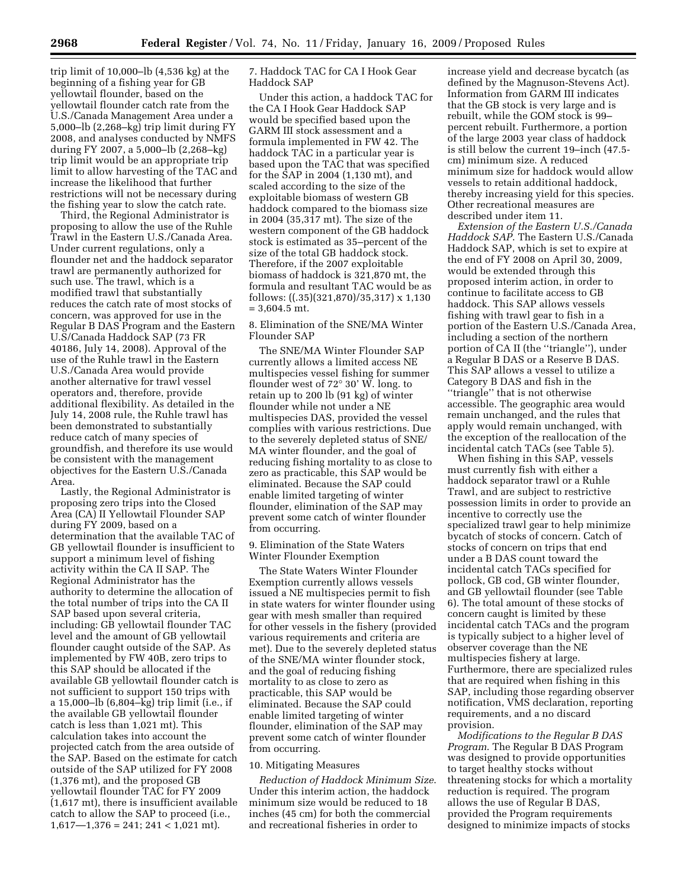trip limit of 10,000–lb (4,536 kg) at the beginning of a fishing year for GB yellowtail flounder, based on the yellowtail flounder catch rate from the U.S./Canada Management Area under a 5,000–lb (2,268–kg) trip limit during FY 2008, and analyses conducted by NMFS during FY 2007, a 5,000–lb (2,268–kg) trip limit would be an appropriate trip limit to allow harvesting of the TAC and increase the likelihood that further restrictions will not be necessary during the fishing year to slow the catch rate.

Third, the Regional Administrator is proposing to allow the use of the Ruhle Trawl in the Eastern U.S./Canada Area. Under current regulations, only a flounder net and the haddock separator trawl are permanently authorized for such use. The trawl, which is a modified trawl that substantially reduces the catch rate of most stocks of concern, was approved for use in the Regular B DAS Program and the Eastern U.S/Canada Haddock SAP (73 FR 40186, July 14, 2008). Approval of the use of the Ruhle trawl in the Eastern U.S./Canada Area would provide another alternative for trawl vessel operators and, therefore, provide additional flexibility. As detailed in the July 14, 2008 rule, the Ruhle trawl has been demonstrated to substantially reduce catch of many species of groundfish, and therefore its use would be consistent with the management objectives for the Eastern U.S./Canada Area.

Lastly, the Regional Administrator is proposing zero trips into the Closed Area (CA) II Yellowtail Flounder SAP during FY 2009, based on a determination that the available TAC of GB yellowtail flounder is insufficient to support a minimum level of fishing activity within the CA II SAP. The Regional Administrator has the authority to determine the allocation of the total number of trips into the CA II SAP based upon several criteria, including: GB yellowtail flounder TAC level and the amount of GB yellowtail flounder caught outside of the SAP. As implemented by FW 40B, zero trips to this SAP should be allocated if the available GB yellowtail flounder catch is not sufficient to support 150 trips with a 15,000–lb (6,804–kg) trip limit (i.e., if the available GB yellowtail flounder catch is less than 1,021 mt). This calculation takes into account the projected catch from the area outside of the SAP. Based on the estimate for catch outside of the SAP utilized for FY 2008 (1,376 mt), and the proposed GB yellowtail flounder TAC for FY 2009 (1,617 mt), there is insufficient available catch to allow the SAP to proceed (i.e.,  $1,617 - 1,376 = 241$ ;  $241 < 1,021$  mt).

## 7. Haddock TAC for CA I Hook Gear Haddock SAP

Under this action, a haddock TAC for the CA I Hook Gear Haddock SAP would be specified based upon the GARM III stock assessment and a formula implemented in FW 42. The haddock TAC in a particular year is based upon the TAC that was specified for the SAP in 2004 (1,130 mt), and scaled according to the size of the exploitable biomass of western GB haddock compared to the biomass size in 2004 (35,317 mt). The size of the western component of the GB haddock stock is estimated as 35–percent of the size of the total GB haddock stock. Therefore, if the 2007 exploitable biomass of haddock is 321,870 mt, the formula and resultant TAC would be as follows: ((.35)(321,870)/35,317) x 1,130  $= 3.604.5$  mt.

## 8. Elimination of the SNE/MA Winter Flounder SAP

The SNE/MA Winter Flounder SAP currently allows a limited access NE multispecies vessel fishing for summer flounder west of 72° 30' W. long. to retain up to 200 lb (91 kg) of winter flounder while not under a NE multispecies DAS, provided the vessel complies with various restrictions. Due to the severely depleted status of SNE/ MA winter flounder, and the goal of reducing fishing mortality to as close to zero as practicable, this SAP would be eliminated. Because the SAP could enable limited targeting of winter flounder, elimination of the SAP may prevent some catch of winter flounder from occurring.

9. Elimination of the State Waters Winter Flounder Exemption

The State Waters Winter Flounder Exemption currently allows vessels issued a NE multispecies permit to fish in state waters for winter flounder using gear with mesh smaller than required for other vessels in the fishery (provided various requirements and criteria are met). Due to the severely depleted status of the SNE/MA winter flounder stock, and the goal of reducing fishing mortality to as close to zero as practicable, this SAP would be eliminated. Because the SAP could enable limited targeting of winter flounder, elimination of the SAP may prevent some catch of winter flounder from occurring.

### 10. Mitigating Measures

*Reduction of Haddock Minimum Size*. Under this interim action, the haddock minimum size would be reduced to 18 inches (45 cm) for both the commercial and recreational fisheries in order to

increase yield and decrease bycatch (as defined by the Magnuson-Stevens Act). Information from GARM III indicates that the GB stock is very large and is rebuilt, while the GOM stock is 99– percent rebuilt. Furthermore, a portion of the large 2003 year class of haddock is still below the current 19–inch (47.5 cm) minimum size. A reduced minimum size for haddock would allow vessels to retain additional haddock, thereby increasing yield for this species. Other recreational measures are described under item 11.

*Extension of the Eastern U.S./Canada Haddock SAP*. The Eastern U.S./Canada Haddock SAP, which is set to expire at the end of FY 2008 on April 30, 2009, would be extended through this proposed interim action, in order to continue to facilitate access to GB haddock. This SAP allows vessels fishing with trawl gear to fish in a portion of the Eastern U.S./Canada Area, including a section of the northern portion of CA II (the ''triangle''), under a Regular B DAS or a Reserve B DAS. This SAP allows a vessel to utilize a Category B DAS and fish in the ''triangle'' that is not otherwise accessible. The geographic area would remain unchanged, and the rules that apply would remain unchanged, with the exception of the reallocation of the incidental catch TACs (see Table 5).

When fishing in this SAP, vessels must currently fish with either a haddock separator trawl or a Ruhle Trawl, and are subject to restrictive possession limits in order to provide an incentive to correctly use the specialized trawl gear to help minimize bycatch of stocks of concern. Catch of stocks of concern on trips that end under a B DAS count toward the incidental catch TACs specified for pollock, GB cod, GB winter flounder, and GB yellowtail flounder (see Table 6). The total amount of these stocks of concern caught is limited by these incidental catch TACs and the program is typically subject to a higher level of observer coverage than the NE multispecies fishery at large. Furthermore, there are specialized rules that are required when fishing in this SAP, including those regarding observer notification, VMS declaration, reporting requirements, and a no discard provision.

*Modifications to the Regular B DAS Program*. The Regular B DAS Program was designed to provide opportunities to target healthy stocks without threatening stocks for which a mortality reduction is required. The program allows the use of Regular B DAS, provided the Program requirements designed to minimize impacts of stocks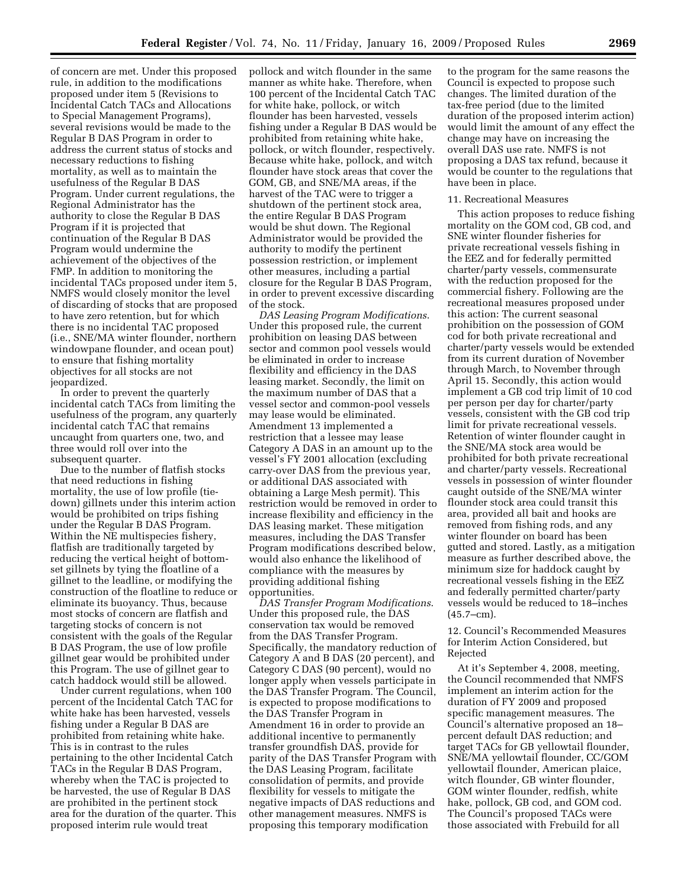of concern are met. Under this proposed rule, in addition to the modifications proposed under item 5 (Revisions to Incidental Catch TACs and Allocations to Special Management Programs), several revisions would be made to the Regular B DAS Program in order to address the current status of stocks and necessary reductions to fishing mortality, as well as to maintain the usefulness of the Regular B DAS Program. Under current regulations, the Regional Administrator has the authority to close the Regular B DAS Program if it is projected that continuation of the Regular B DAS Program would undermine the achievement of the objectives of the FMP. In addition to monitoring the incidental TACs proposed under item 5, NMFS would closely monitor the level of discarding of stocks that are proposed to have zero retention, but for which there is no incidental TAC proposed (i.e., SNE/MA winter flounder, northern windowpane flounder, and ocean pout) to ensure that fishing mortality objectives for all stocks are not jeopardized.

In order to prevent the quarterly incidental catch TACs from limiting the usefulness of the program, any quarterly incidental catch TAC that remains uncaught from quarters one, two, and three would roll over into the subsequent quarter.

Due to the number of flatfish stocks that need reductions in fishing mortality, the use of low profile (tiedown) gillnets under this interim action would be prohibited on trips fishing under the Regular B DAS Program. Within the NE multispecies fishery, flatfish are traditionally targeted by reducing the vertical height of bottomset gillnets by tying the floatline of a gillnet to the leadline, or modifying the construction of the floatline to reduce or eliminate its buoyancy. Thus, because most stocks of concern are flatfish and targeting stocks of concern is not consistent with the goals of the Regular B DAS Program, the use of low profile gillnet gear would be prohibited under this Program. The use of gillnet gear to catch haddock would still be allowed.

Under current regulations, when 100 percent of the Incidental Catch TAC for white hake has been harvested, vessels fishing under a Regular B DAS are prohibited from retaining white hake. This is in contrast to the rules pertaining to the other Incidental Catch TACs in the Regular B DAS Program, whereby when the TAC is projected to be harvested, the use of Regular B DAS are prohibited in the pertinent stock area for the duration of the quarter. This proposed interim rule would treat

pollock and witch flounder in the same manner as white hake. Therefore, when 100 percent of the Incidental Catch TAC for white hake, pollock, or witch flounder has been harvested, vessels fishing under a Regular B DAS would be prohibited from retaining white hake, pollock, or witch flounder, respectively. Because white hake, pollock, and witch flounder have stock areas that cover the GOM, GB, and SNE/MA areas, if the harvest of the TAC were to trigger a shutdown of the pertinent stock area, the entire Regular B DAS Program would be shut down. The Regional Administrator would be provided the authority to modify the pertinent possession restriction, or implement other measures, including a partial closure for the Regular B DAS Program, in order to prevent excessive discarding of the stock.

*DAS Leasing Program Modifications*. Under this proposed rule, the current prohibition on leasing DAS between sector and common pool vessels would be eliminated in order to increase flexibility and efficiency in the DAS leasing market. Secondly, the limit on the maximum number of DAS that a vessel sector and common-pool vessels may lease would be eliminated. Amendment 13 implemented a restriction that a lessee may lease Category A DAS in an amount up to the vessel's FY 2001 allocation (excluding carry-over DAS from the previous year, or additional DAS associated with obtaining a Large Mesh permit). This restriction would be removed in order to increase flexibility and efficiency in the DAS leasing market. These mitigation measures, including the DAS Transfer Program modifications described below, would also enhance the likelihood of compliance with the measures by providing additional fishing opportunities.

*DAS Transfer Program Modifications*. Under this proposed rule, the DAS conservation tax would be removed from the DAS Transfer Program. Specifically, the mandatory reduction of Category A and B DAS (20 percent), and Category C DAS (90 percent), would no longer apply when vessels participate in the DAS Transfer Program. The Council, is expected to propose modifications to the DAS Transfer Program in Amendment 16 in order to provide an additional incentive to permanently transfer groundfish DAS, provide for parity of the DAS Transfer Program with the DAS Leasing Program, facilitate consolidation of permits, and provide flexibility for vessels to mitigate the negative impacts of DAS reductions and other management measures. NMFS is proposing this temporary modification

to the program for the same reasons the Council is expected to propose such changes. The limited duration of the tax-free period (due to the limited duration of the proposed interim action) would limit the amount of any effect the change may have on increasing the overall DAS use rate. NMFS is not proposing a DAS tax refund, because it would be counter to the regulations that have been in place.

#### 11. Recreational Measures

This action proposes to reduce fishing mortality on the GOM cod, GB cod, and SNE winter flounder fisheries for private recreational vessels fishing in the EEZ and for federally permitted charter/party vessels, commensurate with the reduction proposed for the commercial fishery. Following are the recreational measures proposed under this action: The current seasonal prohibition on the possession of GOM cod for both private recreational and charter/party vessels would be extended from its current duration of November through March, to November through April 15. Secondly, this action would implement a GB cod trip limit of 10 cod per person per day for charter/party vessels, consistent with the GB cod trip limit for private recreational vessels. Retention of winter flounder caught in the SNE/MA stock area would be prohibited for both private recreational and charter/party vessels. Recreational vessels in possession of winter flounder caught outside of the SNE/MA winter flounder stock area could transit this area, provided all bait and hooks are removed from fishing rods, and any winter flounder on board has been gutted and stored. Lastly, as a mitigation measure as further described above, the minimum size for haddock caught by recreational vessels fishing in the EEZ and federally permitted charter/party vessels would be reduced to 18–inches  $(45.7 - cm)$ .

12. Council's Recommended Measures for Interim Action Considered, but Rejected

At it's September 4, 2008, meeting, the Council recommended that NMFS implement an interim action for the duration of FY 2009 and proposed specific management measures. The Council's alternative proposed an 18– percent default DAS reduction; and target TACs for GB yellowtail flounder, SNE/MA yellowtail flounder, CC/GOM yellowtail flounder, American plaice, witch flounder, GB winter flounder, GOM winter flounder, redfish, white hake, pollock, GB cod, and GOM cod. The Council's proposed TACs were those associated with Frebuild for all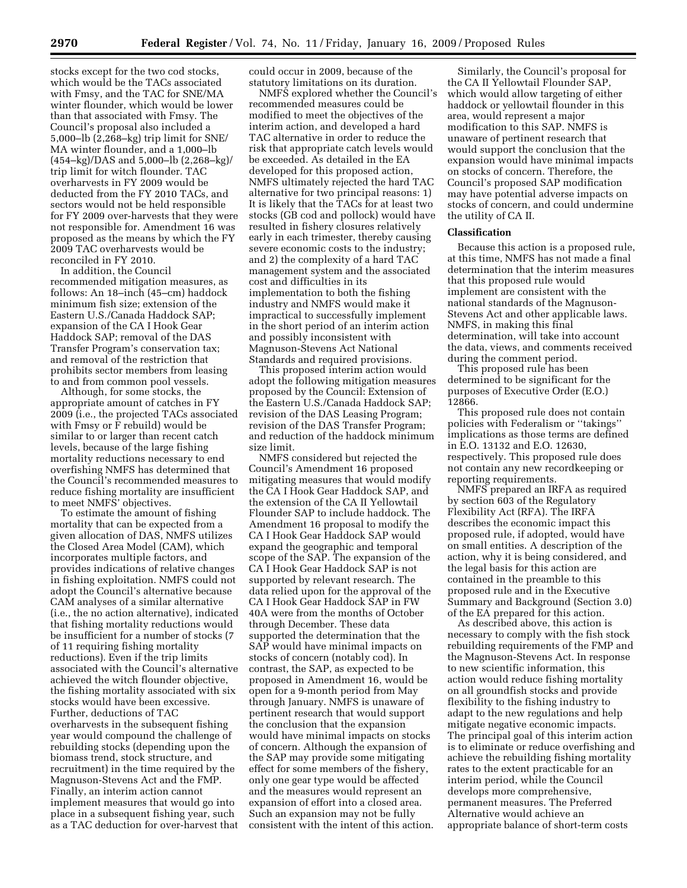stocks except for the two cod stocks, which would be the TACs associated with Fmsy, and the TAC for SNE/MA winter flounder, which would be lower than that associated with Fmsy. The Council's proposal also included a 5,000–lb (2,268–kg) trip limit for SNE/ MA winter flounder, and a 1,000–lb (454–kg)/DAS and 5,000–lb (2,268–kg)/ trip limit for witch flounder. TAC overharvests in FY 2009 would be deducted from the FY 2010 TACs, and sectors would not be held responsible for FY 2009 over-harvests that they were not responsible for. Amendment 16 was proposed as the means by which the FY 2009 TAC overharvests would be reconciled in FY 2010.

In addition, the Council recommended mitigation measures, as follows: An 18–inch (45–cm) haddock minimum fish size; extension of the Eastern U.S./Canada Haddock SAP; expansion of the CA I Hook Gear Haddock SAP; removal of the DAS Transfer Program's conservation tax; and removal of the restriction that prohibits sector members from leasing to and from common pool vessels.

Although, for some stocks, the appropriate amount of catches in FY 2009 (i.e., the projected TACs associated with Fmsy or F rebuild) would be similar to or larger than recent catch levels, because of the large fishing mortality reductions necessary to end overfishing NMFS has determined that the Council's recommended measures to reduce fishing mortality are insufficient to meet NMFS' objectives.

To estimate the amount of fishing mortality that can be expected from a given allocation of DAS, NMFS utilizes the Closed Area Model (CAM), which incorporates multiple factors, and provides indications of relative changes in fishing exploitation. NMFS could not adopt the Council's alternative because CAM analyses of a similar alternative (i.e., the no action alternative), indicated that fishing mortality reductions would be insufficient for a number of stocks (7 of 11 requiring fishing mortality reductions). Even if the trip limits associated with the Council's alternative achieved the witch flounder objective, the fishing mortality associated with six stocks would have been excessive. Further, deductions of TAC overharvests in the subsequent fishing year would compound the challenge of rebuilding stocks (depending upon the biomass trend, stock structure, and recruitment) in the time required by the Magnuson-Stevens Act and the FMP. Finally, an interim action cannot implement measures that would go into place in a subsequent fishing year, such as a TAC deduction for over-harvest that

could occur in 2009, because of the statutory limitations on its duration.

NMFS explored whether the Council's recommended measures could be modified to meet the objectives of the interim action, and developed a hard TAC alternative in order to reduce the risk that appropriate catch levels would be exceeded. As detailed in the EA developed for this proposed action, NMFS ultimately rejected the hard TAC alternative for two principal reasons: 1) It is likely that the TACs for at least two stocks (GB cod and pollock) would have resulted in fishery closures relatively early in each trimester, thereby causing severe economic costs to the industry; and 2) the complexity of a hard TAC management system and the associated cost and difficulties in its implementation to both the fishing industry and NMFS would make it impractical to successfully implement in the short period of an interim action and possibly inconsistent with Magnuson-Stevens Act National Standards and required provisions.

This proposed interim action would adopt the following mitigation measures proposed by the Council: Extension of the Eastern U.S./Canada Haddock SAP; revision of the DAS Leasing Program; revision of the DAS Transfer Program; and reduction of the haddock minimum size limit.

NMFS considered but rejected the Council's Amendment 16 proposed mitigating measures that would modify the CA I Hook Gear Haddock SAP, and the extension of the CA II Yellowtail Flounder SAP to include haddock. The Amendment 16 proposal to modify the CA I Hook Gear Haddock SAP would expand the geographic and temporal scope of the SAP. The expansion of the CA I Hook Gear Haddock SAP is not supported by relevant research. The data relied upon for the approval of the CA I Hook Gear Haddock SAP in FW 40A were from the months of October through December. These data supported the determination that the SAP would have minimal impacts on stocks of concern (notably cod). In contrast, the SAP, as expected to be proposed in Amendment 16, would be open for a 9-month period from May through January. NMFS is unaware of pertinent research that would support the conclusion that the expansion would have minimal impacts on stocks of concern. Although the expansion of the SAP may provide some mitigating effect for some members of the fishery, only one gear type would be affected and the measures would represent an expansion of effort into a closed area. Such an expansion may not be fully consistent with the intent of this action.

Similarly, the Council's proposal for the CA II Yellowtail Flounder SAP, which would allow targeting of either haddock or yellowtail flounder in this area, would represent a major modification to this SAP. NMFS is unaware of pertinent research that would support the conclusion that the expansion would have minimal impacts on stocks of concern. Therefore, the Council's proposed SAP modification may have potential adverse impacts on stocks of concern, and could undermine the utility of CA II.

### **Classification**

Because this action is a proposed rule, at this time, NMFS has not made a final determination that the interim measures that this proposed rule would implement are consistent with the national standards of the Magnuson-Stevens Act and other applicable laws. NMFS, in making this final determination, will take into account the data, views, and comments received during the comment period.

This proposed rule has been determined to be significant for the purposes of Executive Order (E.O.) 12866.

This proposed rule does not contain policies with Federalism or ''takings'' implications as those terms are defined in E.O. 13132 and E.O. 12630, respectively. This proposed rule does not contain any new recordkeeping or reporting requirements.

NMFS prepared an IRFA as required by section 603 of the Regulatory Flexibility Act (RFA). The IRFA describes the economic impact this proposed rule, if adopted, would have on small entities. A description of the action, why it is being considered, and the legal basis for this action are contained in the preamble to this proposed rule and in the Executive Summary and Background (Section 3.0) of the EA prepared for this action.

As described above, this action is necessary to comply with the fish stock rebuilding requirements of the FMP and the Magnuson-Stevens Act. In response to new scientific information, this action would reduce fishing mortality on all groundfish stocks and provide flexibility to the fishing industry to adapt to the new regulations and help mitigate negative economic impacts. The principal goal of this interim action is to eliminate or reduce overfishing and achieve the rebuilding fishing mortality rates to the extent practicable for an interim period, while the Council develops more comprehensive, permanent measures. The Preferred Alternative would achieve an appropriate balance of short-term costs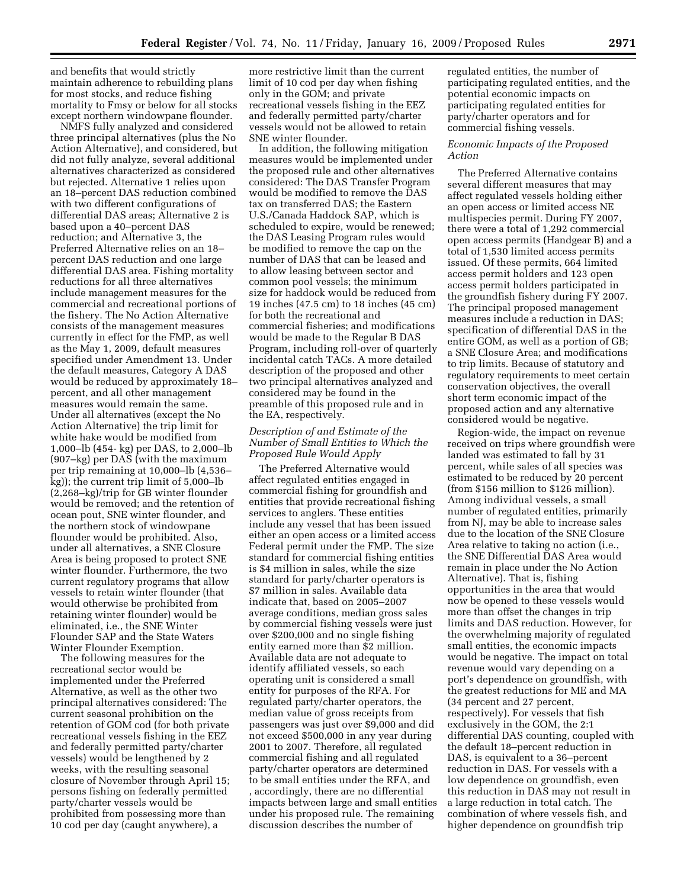and benefits that would strictly maintain adherence to rebuilding plans for most stocks, and reduce fishing mortality to Fmsy or below for all stocks except northern windowpane flounder.

NMFS fully analyzed and considered three principal alternatives (plus the No Action Alternative), and considered, but did not fully analyze, several additional alternatives characterized as considered but rejected. Alternative 1 relies upon an 18–percent DAS reduction combined with two different configurations of differential DAS areas; Alternative 2 is based upon a 40–percent DAS reduction; and Alternative 3, the Preferred Alternative relies on an 18– percent DAS reduction and one large differential DAS area. Fishing mortality reductions for all three alternatives include management measures for the commercial and recreational portions of the fishery. The No Action Alternative consists of the management measures currently in effect for the FMP, as well as the May 1, 2009, default measures specified under Amendment 13. Under the default measures, Category A DAS would be reduced by approximately 18– percent, and all other management measures would remain the same. Under all alternatives (except the No Action Alternative) the trip limit for white hake would be modified from 1,000–lb (454- kg) per DAS, to 2,000–lb (907–kg) per DAS (with the maximum per trip remaining at 10,000–lb (4,536– kg)); the current trip limit of 5,000–lb (2,268–kg)/trip for GB winter flounder would be removed; and the retention of ocean pout, SNE winter flounder, and the northern stock of windowpane flounder would be prohibited. Also, under all alternatives, a SNE Closure Area is being proposed to protect SNE winter flounder. Furthermore, the two current regulatory programs that allow vessels to retain winter flounder (that would otherwise be prohibited from retaining winter flounder) would be eliminated, i.e., the SNE Winter Flounder SAP and the State Waters Winter Flounder Exemption.

The following measures for the recreational sector would be implemented under the Preferred Alternative, as well as the other two principal alternatives considered: The current seasonal prohibition on the retention of GOM cod (for both private recreational vessels fishing in the EEZ and federally permitted party/charter vessels) would be lengthened by 2 weeks, with the resulting seasonal closure of November through April 15; persons fishing on federally permitted party/charter vessels would be prohibited from possessing more than 10 cod per day (caught anywhere), a

more restrictive limit than the current limit of 10 cod per day when fishing only in the GOM; and private recreational vessels fishing in the EEZ and federally permitted party/charter vessels would not be allowed to retain SNE winter flounder.

In addition, the following mitigation measures would be implemented under the proposed rule and other alternatives considered: The DAS Transfer Program would be modified to remove the DAS tax on transferred DAS; the Eastern U.S./Canada Haddock SAP, which is scheduled to expire, would be renewed; the DAS Leasing Program rules would be modified to remove the cap on the number of DAS that can be leased and to allow leasing between sector and common pool vessels; the minimum size for haddock would be reduced from 19 inches (47.5 cm) to 18 inches (45 cm) for both the recreational and commercial fisheries; and modifications would be made to the Regular B DAS Program, including roll-over of quarterly incidental catch TACs. A more detailed description of the proposed and other two principal alternatives analyzed and considered may be found in the preamble of this proposed rule and in the EA, respectively.

## *Description of and Estimate of the Number of Small Entities to Which the Proposed Rule Would Apply*

The Preferred Alternative would affect regulated entities engaged in commercial fishing for groundfish and entities that provide recreational fishing services to anglers. These entities include any vessel that has been issued either an open access or a limited access Federal permit under the FMP. The size standard for commercial fishing entities is \$4 million in sales, while the size standard for party/charter operators is \$7 million in sales. Available data indicate that, based on 2005–2007 average conditions, median gross sales by commercial fishing vessels were just over \$200,000 and no single fishing entity earned more than \$2 million. Available data are not adequate to identify affiliated vessels, so each operating unit is considered a small entity for purposes of the RFA. For regulated party/charter operators, the median value of gross receipts from passengers was just over \$9,000 and did not exceed \$500,000 in any year during 2001 to 2007. Therefore, all regulated commercial fishing and all regulated party/charter operators are determined to be small entities under the RFA, and , accordingly, there are no differential impacts between large and small entities under his proposed rule. The remaining discussion describes the number of

regulated entities, the number of participating regulated entities, and the potential economic impacts on participating regulated entities for party/charter operators and for commercial fishing vessels.

## *Economic Impacts of the Proposed Action*

The Preferred Alternative contains several different measures that may affect regulated vessels holding either an open access or limited access NE multispecies permit. During FY 2007, there were a total of 1,292 commercial open access permits (Handgear B) and a total of 1,530 limited access permits issued. Of these permits, 664 limited access permit holders and 123 open access permit holders participated in the groundfish fishery during FY 2007. The principal proposed management measures include a reduction in DAS; specification of differential DAS in the entire GOM, as well as a portion of GB; a SNE Closure Area; and modifications to trip limits. Because of statutory and regulatory requirements to meet certain conservation objectives, the overall short term economic impact of the proposed action and any alternative considered would be negative.

Region-wide, the impact on revenue received on trips where groundfish were landed was estimated to fall by 31 percent, while sales of all species was estimated to be reduced by 20 percent (from \$156 million to \$126 million). Among individual vessels, a small number of regulated entities, primarily from NJ, may be able to increase sales due to the location of the SNE Closure Area relative to taking no action (i.e., the SNE Differential DAS Area would remain in place under the No Action Alternative). That is, fishing opportunities in the area that would now be opened to these vessels would more than offset the changes in trip limits and DAS reduction. However, for the overwhelming majority of regulated small entities, the economic impacts would be negative. The impact on total revenue would vary depending on a port's dependence on groundfish, with the greatest reductions for ME and MA (34 percent and 27 percent, respectively). For vessels that fish exclusively in the GOM, the 2:1 differential DAS counting, coupled with the default 18–percent reduction in DAS, is equivalent to a 36–percent reduction in DAS. For vessels with a low dependence on groundfish, even this reduction in DAS may not result in a large reduction in total catch. The combination of where vessels fish, and higher dependence on groundfish trip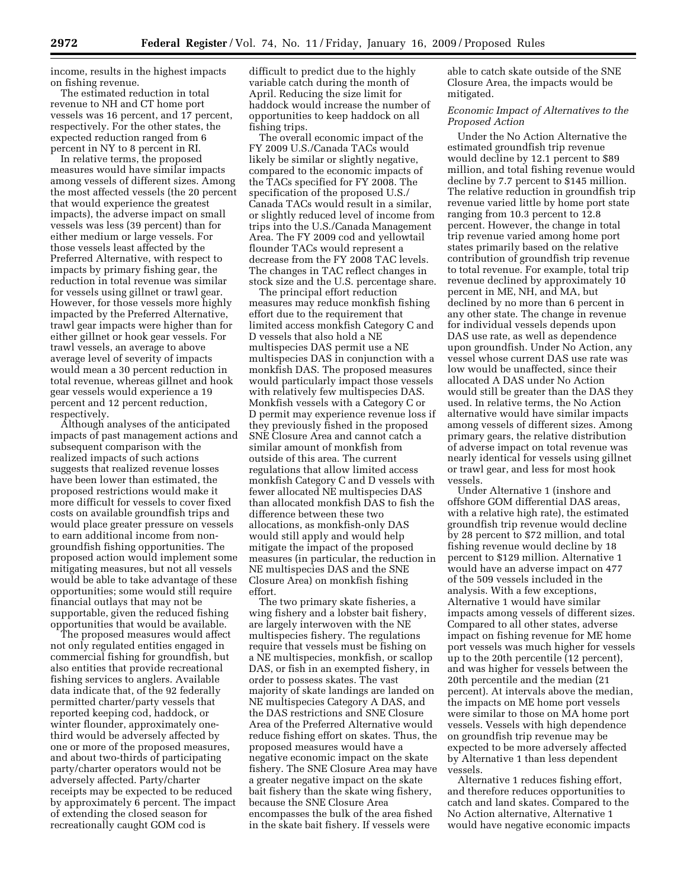income, results in the highest impacts on fishing revenue.

The estimated reduction in total revenue to NH and CT home port vessels was 16 percent, and 17 percent, respectively. For the other states, the expected reduction ranged from 6 percent in NY to 8 percent in RI.

In relative terms, the proposed measures would have similar impacts among vessels of different sizes. Among the most affected vessels (the 20 percent that would experience the greatest impacts), the adverse impact on small vessels was less (39 percent) than for either medium or large vessels. For those vessels least affected by the Preferred Alternative, with respect to impacts by primary fishing gear, the reduction in total revenue was similar for vessels using gillnet or trawl gear. However, for those vessels more highly impacted by the Preferred Alternative, trawl gear impacts were higher than for either gillnet or hook gear vessels. For trawl vessels, an average to above average level of severity of impacts would mean a 30 percent reduction in total revenue, whereas gillnet and hook gear vessels would experience a 19 percent and 12 percent reduction, respectively.

Although analyses of the anticipated impacts of past management actions and subsequent comparison with the realized impacts of such actions suggests that realized revenue losses have been lower than estimated, the proposed restrictions would make it more difficult for vessels to cover fixed costs on available groundfish trips and would place greater pressure on vessels to earn additional income from nongroundfish fishing opportunities. The proposed action would implement some mitigating measures, but not all vessels would be able to take advantage of these opportunities; some would still require financial outlays that may not be supportable, given the reduced fishing opportunities that would be available.

The proposed measures would affect not only regulated entities engaged in commercial fishing for groundfish, but also entities that provide recreational fishing services to anglers. Available data indicate that, of the 92 federally permitted charter/party vessels that reported keeping cod, haddock, or winter flounder, approximately onethird would be adversely affected by one or more of the proposed measures, and about two-thirds of participating party/charter operators would not be adversely affected. Party/charter receipts may be expected to be reduced by approximately 6 percent. The impact of extending the closed season for recreationally caught GOM cod is

difficult to predict due to the highly variable catch during the month of April. Reducing the size limit for haddock would increase the number of opportunities to keep haddock on all fishing trips.

The overall economic impact of the FY 2009 U.S./Canada TACs would likely be similar or slightly negative, compared to the economic impacts of the TACs specified for FY 2008. The specification of the proposed U.S./ Canada TACs would result in a similar, or slightly reduced level of income from trips into the U.S./Canada Management Area. The FY 2009 cod and yellowtail flounder TACs would represent a decrease from the FY 2008 TAC levels. The changes in TAC reflect changes in stock size and the U.S. percentage share.

The principal effort reduction measures may reduce monkfish fishing effort due to the requirement that limited access monkfish Category C and D vessels that also hold a NE multispecies DAS permit use a NE multispecies DAS in conjunction with a monkfish DAS. The proposed measures would particularly impact those vessels with relatively few multispecies DAS. Monkfish vessels with a Category C or D permit may experience revenue loss if they previously fished in the proposed SNE Closure Area and cannot catch a similar amount of monkfish from outside of this area. The current regulations that allow limited access monkfish Category C and D vessels with fewer allocated NE multispecies DAS than allocated monkfish DAS to fish the difference between these two allocations, as monkfish-only DAS would still apply and would help mitigate the impact of the proposed measures (in particular, the reduction in NE multispecies DAS and the SNE Closure Area) on monkfish fishing effort.

The two primary skate fisheries, a wing fishery and a lobster bait fishery, are largely interwoven with the NE multispecies fishery. The regulations require that vessels must be fishing on a NE multispecies, monkfish, or scallop DAS, or fish in an exempted fishery, in order to possess skates. The vast majority of skate landings are landed on NE multispecies Category A DAS, and the DAS restrictions and SNE Closure Area of the Preferred Alternative would reduce fishing effort on skates. Thus, the proposed measures would have a negative economic impact on the skate fishery. The SNE Closure Area may have a greater negative impact on the skate bait fishery than the skate wing fishery, because the SNE Closure Area encompasses the bulk of the area fished in the skate bait fishery. If vessels were

able to catch skate outside of the SNE Closure Area, the impacts would be mitigated.

### *Economic Impact of Alternatives to the Proposed Action*

Under the No Action Alternative the estimated groundfish trip revenue would decline by 12.1 percent to \$89 million, and total fishing revenue would decline by 7.7 percent to \$145 million. The relative reduction in groundfish trip revenue varied little by home port state ranging from 10.3 percent to 12.8 percent. However, the change in total trip revenue varied among home port states primarily based on the relative contribution of groundfish trip revenue to total revenue. For example, total trip revenue declined by approximately 10 percent in ME, NH, and MA, but declined by no more than 6 percent in any other state. The change in revenue for individual vessels depends upon DAS use rate, as well as dependence upon groundfish. Under No Action, any vessel whose current DAS use rate was low would be unaffected, since their allocated A DAS under No Action would still be greater than the DAS they used. In relative terms, the No Action alternative would have similar impacts among vessels of different sizes. Among primary gears, the relative distribution of adverse impact on total revenue was nearly identical for vessels using gillnet or trawl gear, and less for most hook vessels.

Under Alternative 1 (inshore and offshore GOM differential DAS areas, with a relative high rate), the estimated groundfish trip revenue would decline by 28 percent to \$72 million, and total fishing revenue would decline by 18 percent to \$129 million. Alternative 1 would have an adverse impact on 477 of the 509 vessels included in the analysis. With a few exceptions, Alternative 1 would have similar impacts among vessels of different sizes. Compared to all other states, adverse impact on fishing revenue for ME home port vessels was much higher for vessels up to the 20th percentile (12 percent), and was higher for vessels between the 20th percentile and the median (21 percent). At intervals above the median, the impacts on ME home port vessels were similar to those on MA home port vessels. Vessels with high dependence on groundfish trip revenue may be expected to be more adversely affected by Alternative 1 than less dependent vessels.

Alternative 1 reduces fishing effort, and therefore reduces opportunities to catch and land skates. Compared to the No Action alternative, Alternative 1 would have negative economic impacts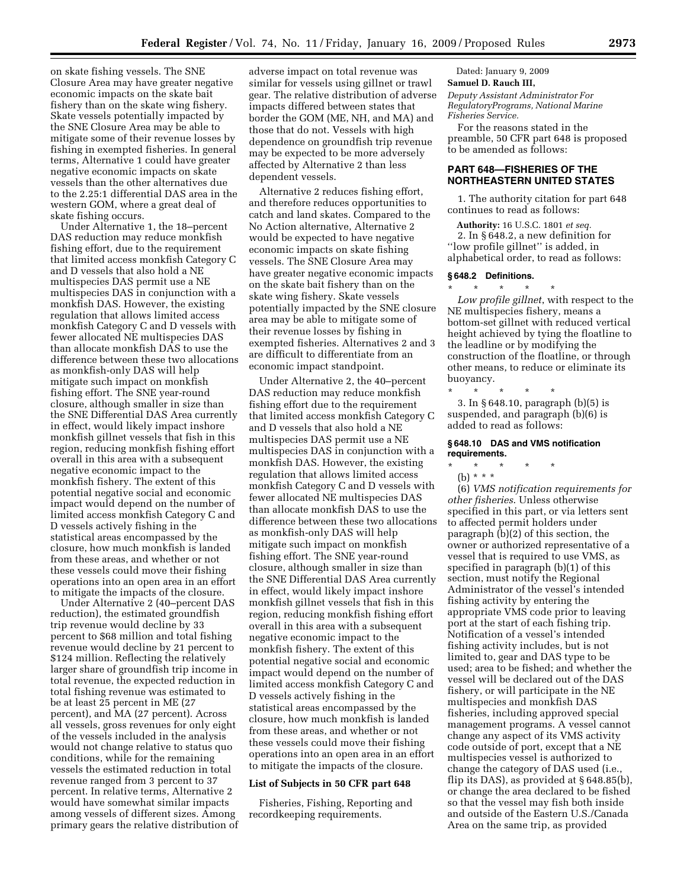on skate fishing vessels. The SNE Closure Area may have greater negative economic impacts on the skate bait fishery than on the skate wing fishery. Skate vessels potentially impacted by the SNE Closure Area may be able to mitigate some of their revenue losses by fishing in exempted fisheries. In general terms, Alternative 1 could have greater negative economic impacts on skate vessels than the other alternatives due to the 2.25:1 differential DAS area in the western GOM, where a great deal of skate fishing occurs.

Under Alternative 1, the 18–percent DAS reduction may reduce monkfish fishing effort, due to the requirement that limited access monkfish Category C and D vessels that also hold a NE multispecies DAS permit use a NE multispecies DAS in conjunction with a monkfish DAS. However, the existing regulation that allows limited access monkfish Category C and D vessels with fewer allocated NE multispecies DAS than allocate monkfish DAS to use the difference between these two allocations as monkfish-only DAS will help mitigate such impact on monkfish fishing effort. The SNE year-round closure, although smaller in size than the SNE Differential DAS Area currently in effect, would likely impact inshore monkfish gillnet vessels that fish in this region, reducing monkfish fishing effort overall in this area with a subsequent negative economic impact to the monkfish fishery. The extent of this potential negative social and economic impact would depend on the number of limited access monkfish Category C and D vessels actively fishing in the statistical areas encompassed by the closure, how much monkfish is landed from these areas, and whether or not these vessels could move their fishing operations into an open area in an effort to mitigate the impacts of the closure.

Under Alternative 2 (40–percent DAS reduction), the estimated groundfish trip revenue would decline by 33 percent to \$68 million and total fishing revenue would decline by 21 percent to \$124 million. Reflecting the relatively larger share of groundfish trip income in total revenue, the expected reduction in total fishing revenue was estimated to be at least 25 percent in ME (27 percent), and MA (27 percent). Across all vessels, gross revenues for only eight of the vessels included in the analysis would not change relative to status quo conditions, while for the remaining vessels the estimated reduction in total revenue ranged from 3 percent to 37 percent. In relative terms, Alternative 2 would have somewhat similar impacts among vessels of different sizes. Among primary gears the relative distribution of adverse impact on total revenue was similar for vessels using gillnet or trawl gear. The relative distribution of adverse impacts differed between states that border the GOM (ME, NH, and MA) and those that do not. Vessels with high dependence on groundfish trip revenue may be expected to be more adversely affected by Alternative 2 than less dependent vessels.

Alternative 2 reduces fishing effort, and therefore reduces opportunities to catch and land skates. Compared to the No Action alternative, Alternative 2 would be expected to have negative economic impacts on skate fishing vessels. The SNE Closure Area may have greater negative economic impacts on the skate bait fishery than on the skate wing fishery. Skate vessels potentially impacted by the SNE closure area may be able to mitigate some of their revenue losses by fishing in exempted fisheries. Alternatives 2 and 3 are difficult to differentiate from an economic impact standpoint.

Under Alternative 2, the 40–percent DAS reduction may reduce monkfish fishing effort due to the requirement that limited access monkfish Category C and D vessels that also hold a NE multispecies DAS permit use a NE multispecies DAS in conjunction with a monkfish DAS. However, the existing regulation that allows limited access monkfish Category C and D vessels with fewer allocated NE multispecies DAS than allocate monkfish DAS to use the difference between these two allocations as monkfish-only DAS will help mitigate such impact on monkfish fishing effort. The SNE year-round closure, although smaller in size than the SNE Differential DAS Area currently in effect, would likely impact inshore monkfish gillnet vessels that fish in this region, reducing monkfish fishing effort overall in this area with a subsequent negative economic impact to the monkfish fishery. The extent of this potential negative social and economic impact would depend on the number of limited access monkfish Category C and D vessels actively fishing in the statistical areas encompassed by the closure, how much monkfish is landed from these areas, and whether or not these vessels could move their fishing operations into an open area in an effort to mitigate the impacts of the closure.

#### **List of Subjects in 50 CFR part 648**

Fisheries, Fishing, Reporting and recordkeeping requirements.

Dated: January 9, 2009

**Samuel D. Rauch III,** 

*Deputy Assistant Administrator For RegulatoryPrograms, National Marine Fisheries Service.* 

For the reasons stated in the preamble, 50 CFR part 648 is proposed to be amended as follows:

## **PART 648—FISHERIES OF THE NORTHEASTERN UNITED STATES**

1. The authority citation for part 648 continues to read as follows:

**Authority:** 16 U.S.C. 1801 *et seq.*  2. In § 648.2, a new definition for ''low profile gillnet'' is added, in alphabetical order, to read as follows:

### **§ 648.2 Definitions.**

\* \* \* \* \* *Low profile gillnet*, with respect to the NE multispecies fishery, means a bottom-set gillnet with reduced vertical height achieved by tying the floatline to the leadline or by modifying the construction of the floatline, or through other means, to reduce or eliminate its buoyancy.

\* \* \* \* \* 3. In § 648.10, paragraph (b)(5) is suspended, and paragraph (b)(6) is added to read as follows:

#### **§ 648.10 DAS and VMS notification requirements.**

\* \* \* \* \*

(b) \* \* \*

(6) *VMS notification requirements for other fisheries*. Unless otherwise specified in this part, or via letters sent to affected permit holders under paragraph (b)(2) of this section, the owner or authorized representative of a vessel that is required to use VMS, as specified in paragraph (b)(1) of this section, must notify the Regional Administrator of the vessel's intended fishing activity by entering the appropriate VMS code prior to leaving port at the start of each fishing trip. Notification of a vessel's intended fishing activity includes, but is not limited to, gear and DAS type to be used; area to be fished; and whether the vessel will be declared out of the DAS fishery, or will participate in the NE multispecies and monkfish DAS fisheries, including approved special management programs. A vessel cannot change any aspect of its VMS activity code outside of port, except that a NE multispecies vessel is authorized to change the category of DAS used (i.e., flip its DAS), as provided at § 648.85(b), or change the area declared to be fished so that the vessel may fish both inside and outside of the Eastern U.S./Canada Area on the same trip, as provided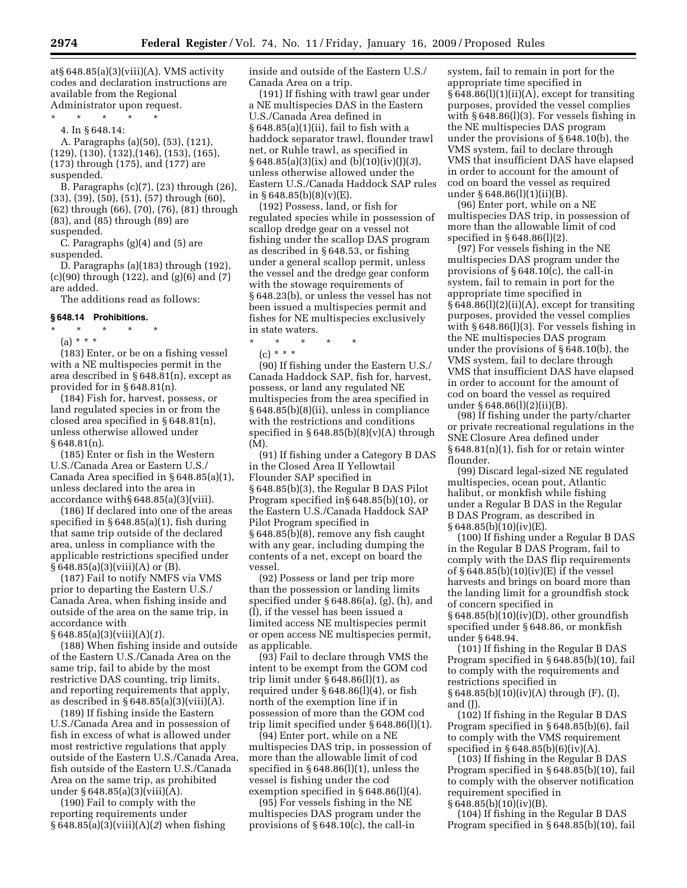at§ 648.85(a)(3)(viii)(A). VMS activity codes and declaration instructions are available from the Regional

Administrator upon request.

\* \* \* \* \*

4. In § 648.14:

A. Paragraphs (a)(50), (53), (121), (129), (130), (132),(146), (153), (165), (173) through (175), and (177) are suspended.

B. Paragraphs (c)(7), (23) through (26), (33), (39), (50), (51), (57) through (60), (62) through (66), (70), (76), (81) through (83), and (85) through (89) are suspended.

C. Paragraphs (g)(4) and (5) are suspended.

D. Paragraphs (a)(183) through (192), (c)(90) through (122), and (g)(6) and (7) are added.

The additions read as follows:

## **§ 648.14 Prohibitions.**

- \* \* \* \* \*
	- (a) \* \* \*

(183) Enter, or be on a fishing vessel with a NE multispecies permit in the area described in § 648.81(n), except as provided for in § 648.81(n).

(184) Fish for, harvest, possess, or land regulated species in or from the closed area specified in § 648.81(n), unless otherwise allowed under § 648.81(n).

(185) Enter or fish in the Western U.S./Canada Area or Eastern U.S./ Canada Area specified in § 648.85(a)(1), unless declared into the area in accordance with§ 648.85(a)(3)(viii).

(186) If declared into one of the areas specified in § 648.85(a)(1), fish during that same trip outside of the declared area, unless in compliance with the applicable restrictions specified under  $§ 648.85(a)(3)(viii)(A)$  or (B).

(187) Fail to notify NMFS via VMS prior to departing the Eastern U.S./ Canada Area, when fishing inside and outside of the area on the same trip, in accordance with

§ 648.85(a)(3)(viii)(A)(*1*).

(188) When fishing inside and outside of the Eastern U.S./Canada Area on the same trip, fail to abide by the most restrictive DAS counting, trip limits, and reporting requirements that apply, as described in  $\S 648.85(a)(3)(viii)(A)$ .

(189) If fishing inside the Eastern U.S./Canada Area and in possession of fish in excess of what is allowed under most restrictive regulations that apply outside of the Eastern U.S./Canada Area, fish outside of the Eastern U.S./Canada Area on the same trip, as prohibited under § 648.85(a)(3)(viii)(A).

(190) Fail to comply with the reporting requirements under § 648.85(a)(3)(viii)(A)(*2*) when fishing inside and outside of the Eastern U.S./ Canada Area on a trip.

(191) If fishing with trawl gear under a NE multispecies DAS in the Eastern U.S./Canada Area defined in § 648.85(a)(1)(ii), fail to fish with a haddock separator trawl, flounder trawl net, or Ruhle trawl, as specified in § 648.85(a)(3)(ix) and (b)(10)(iv)(J)(*3*), unless otherwise allowed under the Eastern U.S./Canada Haddock SAP rules in § 648.85(b)(8)(v)(E).

(192) Possess, land, or fish for regulated species while in possession of scallop dredge gear on a vessel not fishing under the scallop DAS program as described in § 648.53, or fishing under a general scallop permit, unless the vessel and the dredge gear conform with the stowage requirements of § 648.23(b), or unless the vessel has not been issued a multispecies permit and fishes for NE multispecies exclusively in state waters.

\* \* \* \* \*

 $(c) * * * *$ 

(90) If fishing under the Eastern U.S./ Canada Haddock SAP, fish for, harvest, possess, or land any regulated NE multispecies from the area specified in § 648.85(b)(8)(ii), unless in compliance with the restrictions and conditions specified in  $§ 648.85(b)(8)(v)(A)$  through (M).

(91) If fishing under a Category B DAS in the Closed Area II Yellowtail Flounder SAP specified in § 648.85(b)(3), the Regular B DAS Pilot Program specified in§ 648.85(b)(10), or the Eastern U.S./Canada Haddock SAP Pilot Program specified in § 648.85(b)(8), remove any fish caught with any gear, including dumping the contents of a net, except on board the vessel.

(92) Possess or land per trip more than the possession or landing limits specified under § 648.86(a), (g), (h), and (l), if the vessel has been issued a limited access NE multispecies permit or open access NE multispecies permit, as applicable.

(93) Fail to declare through VMS the intent to be exempt from the GOM cod trip limit under § 648.86(l)(1), as required under § 648.86(l)(4), or fish north of the exemption line if in possession of more than the GOM cod trip limit specified under § 648.86(l)(1).

(94) Enter port, while on a NE multispecies DAS trip, in possession of more than the allowable limit of cod specified in § 648.86(l)(1), unless the vessel is fishing under the cod exemption specified in § 648.86(l)(4).

(95) For vessels fishing in the NE multispecies DAS program under the provisions of § 648.10(c), the call-in

system, fail to remain in port for the appropriate time specified in  $§ 648.86(1)(1)(ii)(A)$ , except for transiting purposes, provided the vessel complies with § 648.86(l)(3). For vessels fishing in the NE multispecies DAS program under the provisions of § 648.10(b), the VMS system, fail to declare through VMS that insufficient DAS have elapsed in order to account for the amount of cod on board the vessel as required under § 648.86(l)(1)(ii)(B).

(96) Enter port, while on a NE multispecies DAS trip, in possession of more than the allowable limit of cod specified in § 648.86(l)(2).

(97) For vessels fishing in the NE multispecies DAS program under the provisions of § 648.10(c), the call-in system, fail to remain in port for the appropriate time specified in  $§ 648.86(1)(2)(ii)(A)$ , except for transiting purposes, provided the vessel complies with § 648.86(l)(3). For vessels fishing in the NE multispecies DAS program under the provisions of § 648.10(b), the VMS system, fail to declare through VMS that insufficient DAS have elapsed in order to account for the amount of cod on board the vessel as required under § 648.86(l)(2)(ii)(B).

(98) If fishing under the party/charter or private recreational regulations in the SNE Closure Area defined under § 648.81(n)(1), fish for or retain winter flounder.

(99) Discard legal-sized NE regulated multispecies, ocean pout, Atlantic halibut, or monkfish while fishing under a Regular B DAS in the Regular B DAS Program, as described in  $§ 648.85(b)(10)(iv)(E).$ 

(100) If fishing under a Regular B DAS in the Regular B DAS Program, fail to comply with the DAS flip requirements of § 648.85(b)(10)(iv)(E) if the vessel harvests and brings on board more than the landing limit for a groundfish stock of concern specified in  $§ 648.85(b)(10)(iv)(D)$ , other groundfish specified under § 648.86, or monkfish under § 648.94.

(101) If fishing in the Regular B DAS Program specified in § 648.85(b)(10), fail to comply with the requirements and restrictions specified in § 648.85(b)(10)(iv)(A) through (F), (I),

and (J).

(102) If fishing in the Regular B DAS Program specified in § 648.85(b)(6), fail to comply with the VMS requirement specified in  $§ 648.85(b)(6)(iv)(A)$ .

(103) If fishing in the Regular B DAS Program specified in § 648.85(b)(10), fail to comply with the observer notification requirement specified in

 $\S 648.85(b)(10)(iv)(B)$ .

(104) If fishing in the Regular B DAS Program specified in § 648.85(b)(10), fail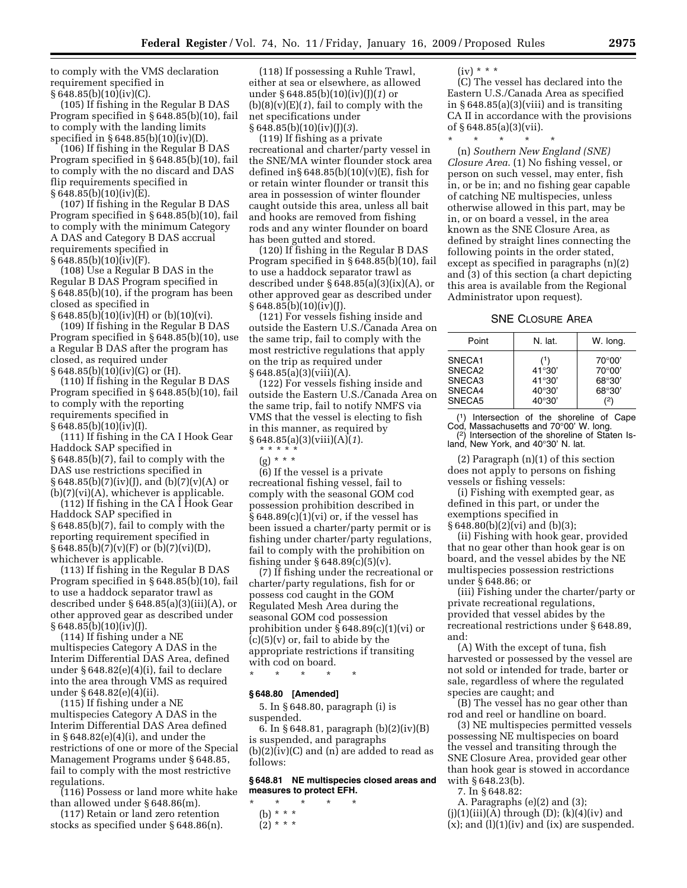to comply with the VMS declaration requirement specified in  $§ 648.85(b)(10)(iv)(C).$ 

(105) If fishing in the Regular B DAS Program specified in § 648.85(b)(10), fail to comply with the landing limits specified in § 648.85(b)(10)(iv)(D).

(106) If fishing in the Regular B DAS Program specified in § 648.85(b)(10), fail to comply with the no discard and DAS flip requirements specified in § 648.85(b)(10)(iv)(E).

(107) If fishing in the Regular B DAS Program specified in § 648.85(b)(10), fail to comply with the minimum Category A DAS and Category B DAS accrual requirements specified in  $§ 648.85(b)(10)(iv)(F).$ 

(108) Use a Regular B DAS in the Regular B DAS Program specified in § 648.85(b)(10), if the program has been closed as specified in  $\S 648.85(b)(10)(iv)(H)$  or  $(b)(10)(vi)$ .

(109) If fishing in the Regular B DAS Program specified in § 648.85(b)(10), use a Regular B DAS after the program has closed, as required under § 648.85(b)(10)(iv)(G) or (H).

(110) If fishing in the Regular B DAS Program specified in § 648.85(b)(10), fail to comply with the reporting requirements specified in § 648.85(b)(10)(iv)(I).

(111) If fishing in the CA I Hook Gear Haddock SAP specified in § 648.85(b)(7), fail to comply with the DAS use restrictions specified in  $§ 648.85(b)(7)(iv)(J), and (b)(7)(v)(A)$  or  $(b)(7)(vi)(A)$ , whichever is applicable.

(112) If fishing in the CA I Hook Gear Haddock SAP specified in § 648.85(b)(7), fail to comply with the reporting requirement specified in  $§ 648.85(b)(7)(v)(F)$  or  $(b)(7)(vi)(D)$ , whichever is applicable.

(113) If fishing in the Regular B DAS Program specified in § 648.85(b)(10), fail to use a haddock separator trawl as described under § 648.85(a)(3)(iii)(A), or other approved gear as described under  $§ 648.85(b)(10)(iv)(J).$ 

(114) If fishing under a NE multispecies Category A DAS in the Interim Differential DAS Area, defined under § 648.82(e)(4)(i), fail to declare into the area through VMS as required under § 648.82(e)(4)(ii).

(115) If fishing under a NE multispecies Category A DAS in the Interim Differential DAS Area defined in § 648.82(e)(4)(i), and under the restrictions of one or more of the Special Management Programs under § 648.85, fail to comply with the most restrictive regulations.

(116) Possess or land more white hake than allowed under § 648.86(m).

(117) Retain or land zero retention stocks as specified under § 648.86(n).

(118) If possessing a Ruhle Trawl, either at sea or elsewhere, as allowed under § 648.85(b)(10)(iv)(J)(*1*) or  $(b)(8)(v)(E)(1)$ , fail to comply with the net specifications under § 648.85(b)(10)(iv)(J)(*3*).

(119) If fishing as a private recreational and charter/party vessel in the SNE/MA winter flounder stock area defined in§  $648.85(b)(10)(v)(E)$ , fish for or retain winter flounder or transit this area in possession of winter flounder caught outside this area, unless all bait and hooks are removed from fishing rods and any winter flounder on board has been gutted and stored.

(120) If fishing in the Regular B DAS Program specified in § 648.85(b)(10), fail to use a haddock separator trawl as described under  $§ 648.85(a)(3)(ix)(A)$ , or other approved gear as described under  $§ 648.85(b)(10)(iv)(J).$ 

(121) For vessels fishing inside and outside the Eastern U.S./Canada Area on the same trip, fail to comply with the most restrictive regulations that apply on the trip as required under  $§ 648.85(a)(3)(viii)(A).$ 

(122) For vessels fishing inside and outside the Eastern U.S./Canada Area on the same trip, fail to notify NMFS via VMS that the vessel is electing to fish in this manner, as required by § 648.85(a)(3)(viii)(A)(*1*).

\* \* \* \* \* (g) \* \* \*

(6) If the vessel is a private recreational fishing vessel, fail to comply with the seasonal GOM cod possession prohibition described in  $§ 648.89(c)(1)(vi)$  or, if the vessel has been issued a charter/party permit or is fishing under charter/party regulations, fail to comply with the prohibition on fishing under  $\S 648.89(c)(5)(v)$ .

(7) If fishing under the recreational or charter/party regulations, fish for or possess cod caught in the GOM Regulated Mesh Area during the seasonal GOM cod possession prohibition under § 648.89(c)(1)(vi) or  $(c)(5)(v)$  or, fail to abide by the appropriate restrictions if transiting with cod on board.

\* \* \* \* \*

#### **§ 648.80 [Amended]**

5. In § 648.80, paragraph (i) is suspended.

6. In § 648.81, paragraph (b)(2)(iv)(B) is suspended, and paragraphs  $(b)(2)(iv)(C)$  and  $(n)$  are added to read as follows:

### **§ 648.81 NE multispecies closed areas and measures to protect EFH.**

\* \* \* \* \*

 $(iv) * * * *$ 

(C) The vessel has declared into the Eastern U.S./Canada Area as specified in § 648.85(a)(3)(viii) and is transiting CA II in accordance with the provisions of § 648.85(a)(3)(vii).

\* \* \* \* \*

(n) *Southern New England (SNE) Closure Area*. (1) No fishing vessel, or person on such vessel, may enter, fish in, or be in; and no fishing gear capable of catching NE multispecies, unless otherwise allowed in this part, may be in, or on board a vessel, in the area known as the SNE Closure Area, as defined by straight lines connecting the following points in the order stated, except as specified in paragraphs (n)(2) and (3) of this section (a chart depicting this area is available from the Regional Administrator upon request).

### SNE CLOSURE AREA

| Point                                          | N. lat.                                                       | W. long.                                                     |
|------------------------------------------------|---------------------------------------------------------------|--------------------------------------------------------------|
| SNECA1<br>SNECA2<br>SNECA3<br>SNECA4<br>SNECA5 | (1)<br>41°30'<br>41°30'<br>$40^{\circ}30'$<br>$40^{\circ}30'$ | $70^{\circ}00'$<br>$70^{\circ}00'$<br>68°30'<br>68°30'<br>(2 |

(1) Intersection of the shoreline of Cape Cod, Massachusetts and 70°00' W. long. (2) Intersection of the shoreline of Staten Is-

land, New York, and 40°30' N. lat.

(2) Paragraph (n)(1) of this section does not apply to persons on fishing vessels or fishing vessels:

(i) Fishing with exempted gear, as defined in this part, or under the exemptions specified in § 648.80(b)(2)(vi) and (b)(3);

(ii) Fishing with hook gear, provided that no gear other than hook gear is on board, and the vessel abides by the NE multispecies possession restrictions under § 648.86; or

(iii) Fishing under the charter/party or private recreational regulations, provided that vessel abides by the recreational restrictions under § 648.89, and:

(A) With the except of tuna, fish harvested or possessed by the vessel are not sold or intended for trade, barter or sale, regardless of where the regulated species are caught; and

(B) The vessel has no gear other than rod and reel or handline on board.

(3) NE multispecies permitted vessels possessing NE multispecies on board the vessel and transiting through the SNE Closure Area, provided gear other than hook gear is stowed in accordance with § 648.23(b).

7. In § 648.82:

A. Paragraphs (e)(2) and (3);  $(j)(1)(iii)(A)$  through  $(D)$ ;  $(k)(4)(iv)$  and  $(x)$ ; and  $(l)(1)(iv)$  and  $(ix)$  are suspended.

<sup>(</sup>b) \* \* \*

 $(2)^{***}$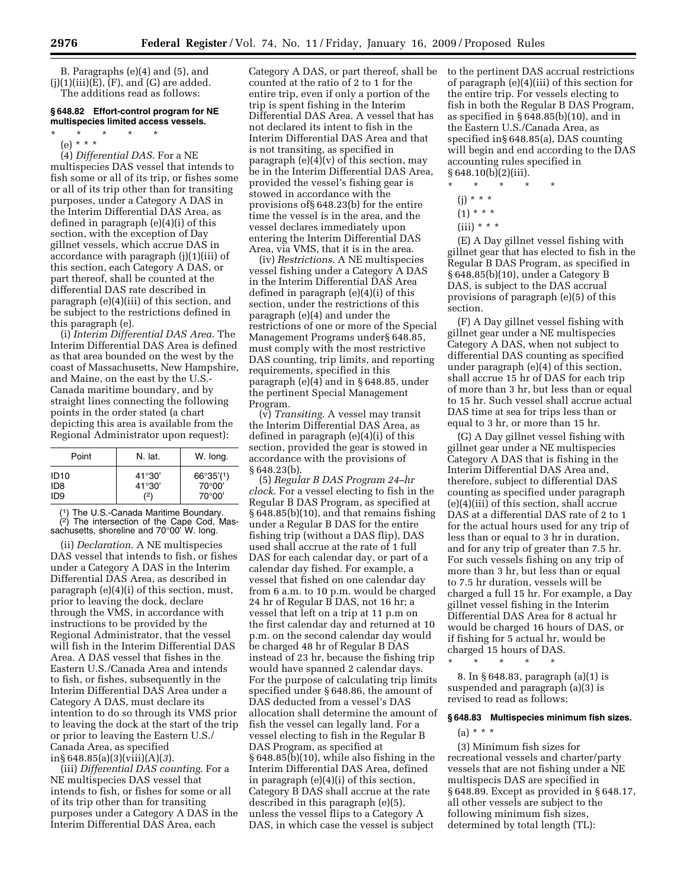B. Paragraphs (e)(4) and (5), and  $(j)(1)(iii)(E)$ ,  $(F)$ , and  $(G)$  are added. The additions read as follows:

## **§ 648.82 Effort-control program for NE multispecies limited access vessels.**

- \* \* \* \* \*
	- (e) \* \* \*

(4) *Differential DAS*. For a NE multispecies DAS vessel that intends to fish some or all of its trip, or fishes some or all of its trip other than for transiting purposes, under a Category A DAS in the Interim Differential DAS Area, as defined in paragraph (e)(4)(i) of this section, with the exception of Day gillnet vessels, which accrue DAS in accordance with paragraph (j)(1)(iii) of this section, each Category A DAS, or part thereof, shall be counted at the differential DAS rate described in paragraph (e)(4)(iii) of this section, and be subject to the restrictions defined in this paragraph (e).

(i) *Interim Differential DAS Area*. The Interim Differential DAS Area is defined as that area bounded on the west by the coast of Massachusetts, New Hampshire, and Maine, on the east by the U.S.- Canada maritime boundary, and by straight lines connecting the following points in the order stated (a chart depicting this area is available from the Regional Administrator upon request):

| Point            | N. lat.         | W. long.           |
|------------------|-----------------|--------------------|
| ID <sub>10</sub> | $41^{\circ}30'$ | $66^{\circ}35'(1)$ |
| ID8              | $41^{\circ}30'$ | 70°00'             |
| ID9              | (2)             | 70°00'             |

(1) The U.S.-Canada Maritime Boundary.  $(2)$  The intersection of the Cape Cod, Massachusetts, shoreline and 70°00' W. long.

(ii) *Declaration*. A NE multispecies DAS vessel that intends to fish, or fishes under a Category A DAS in the Interim Differential DAS Area, as described in paragraph (e)(4)(i) of this section, must, prior to leaving the dock, declare through the VMS, in accordance with instructions to be provided by the Regional Administrator, that the vessel will fish in the Interim Differential DAS Area. A DAS vessel that fishes in the Eastern U.S./Canada Area and intends to fish, or fishes, subsequently in the Interim Differential DAS Area under a Category A DAS, must declare its intention to do so through its VMS prior to leaving the dock at the start of the trip or prior to leaving the Eastern U.S./ Canada Area, as specified in§ 648.85(a)(3)(viii)(A)(*3*).

(iii) *Differential DAS counting*. For a NE multispecies DAS vessel that intends to fish, or fishes for some or all of its trip other than for transiting purposes under a Category A DAS in the Interim Differential DAS Area, each

Category A DAS, or part thereof, shall be counted at the ratio of 2 to 1 for the entire trip, even if only a portion of the trip is spent fishing in the Interim Differential DAS Area. A vessel that has not declared its intent to fish in the Interim Differential DAS Area and that is not transiting, as specified in paragraph  $(e)(4)(v)$  of this section, may be in the Interim Differential DAS Area, provided the vessel's fishing gear is stowed in accordance with the provisions of§ 648.23(b) for the entire time the vessel is in the area, and the vessel declares immediately upon entering the Interim Differential DAS Area, via VMS, that it is in the area.

(iv) *Restrictions*. A NE multispecies vessel fishing under a Category A DAS in the Interim Differential DAS Area defined in paragraph (e)(4)(i) of this section, under the restrictions of this paragraph (e)(4) and under the restrictions of one or more of the Special Management Programs under§ 648.85, must comply with the most restrictive DAS counting, trip limits, and reporting requirements, specified in this paragraph  $(e)(4)$  and in § 648.85, under the pertinent Special Management Program.

(v) *Transiting*. A vessel may transit the Interim Differential DAS Area, as defined in paragraph (e)(4)(i) of this section, provided the gear is stowed in accordance with the provisions of § 648.23(b).

(5) *Regular B DAS Program 24–hr clock*. For a vessel electing to fish in the Regular B DAS Program, as specified at § 648.85(b)(10), and that remains fishing under a Regular B DAS for the entire fishing trip (without a DAS flip), DAS used shall accrue at the rate of 1 full DAS for each calendar day, or part of a calendar day fished. For example, a vessel that fished on one calendar day from 6 a.m. to 10 p.m. would be charged 24 hr of Regular B DAS, not 16 hr; a vessel that left on a trip at 11 p.m on the first calendar day and returned at 10 p.m. on the second calendar day would be charged 48 hr of Regular B DAS instead of 23 hr, because the fishing trip would have spanned 2 calendar days. For the purpose of calculating trip limits specified under § 648.86, the amount of DAS deducted from a vessel's DAS allocation shall determine the amount of fish the vessel can legally land. For a vessel electing to fish in the Regular B DAS Program, as specified at § 648.85(b)(10), while also fishing in the Interim Differential DAS Area, defined in paragraph (e)(4)(i) of this section, Category B DAS shall accrue at the rate described in this paragraph (e)(5), unless the vessel flips to a Category A DAS, in which case the vessel is subject

to the pertinent DAS accrual restrictions of paragraph (e)(4)(iii) of this section for the entire trip. For vessels electing to fish in both the Regular B DAS Program, as specified in § 648.85(b)(10), and in the Eastern U.S./Canada Area, as specified in§ 648.85(a), DAS counting will begin and end according to the DAS accounting rules specified in § 648.10(b)(2)(iii).

- \* \* \* \* \*
- (j) \* \* \*
- $(1) * * *$
- $(iii) * * * *$

(E) A Day gillnet vessel fishing with gillnet gear that has elected to fish in the Regular B DAS Program, as specified in § 648.85(b)(10), under a Category B DAS, is subject to the DAS accrual provisions of paragraph (e)(5) of this section.

(F) A Day gillnet vessel fishing with gillnet gear under a NE multispecies Category A DAS, when not subject to differential DAS counting as specified under paragraph (e)(4) of this section, shall accrue 15 hr of DAS for each trip of more than 3 hr, but less than or equal to 15 hr. Such vessel shall accrue actual DAS time at sea for trips less than or equal to 3 hr, or more than 15 hr.

(G) A Day gillnet vessel fishing with gillnet gear under a NE multispecies Category A DAS that is fishing in the Interim Differential DAS Area and, therefore, subject to differential DAS counting as specified under paragraph (e)(4)(iii) of this section, shall accrue DAS at a differential DAS rate of 2 to 1 for the actual hours used for any trip of less than or equal to 3 hr in duration, and for any trip of greater than 7.5 hr. For such vessels fishing on any trip of more than 3 hr, but less than or equal to 7.5 hr duration, vessels will be charged a full 15 hr. For example, a Day gillnet vessel fishing in the Interim Differential DAS Area for 8 actual hr would be charged 16 hours of DAS, or if fishing for 5 actual hr, would be charged 15 hours of DAS.

\* \* \* \* \*

8. In § 648.83, paragraph (a)(1) is suspended and paragraph (a)(3) is revised to read as follows:

#### **§ 648.83 Multispecies minimum fish sizes.**

(a) \* \* \*

(3) Minimum fish sizes for recreational vessels and charter/party vessels that are not fishing under a NE multispecis DAS are specified in § 648.89. Except as provided in § 648.17, all other vessels are subject to the following minimum fish sizes, determined by total length (TL):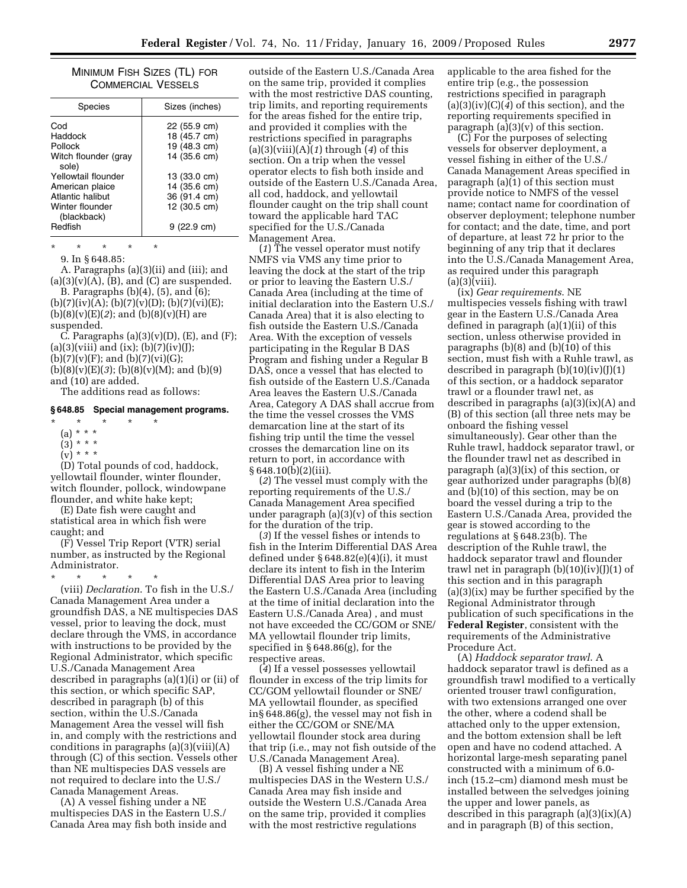### MINIMUM FISH SIZES (TL) FOR COMMERCIAL VESSELS

| Species                                                                                                                                                               | Sizes (inches)                                                                                                                                       |
|-----------------------------------------------------------------------------------------------------------------------------------------------------------------------|------------------------------------------------------------------------------------------------------------------------------------------------------|
| Cod<br>Haddock<br>Pollock<br>Witch flounder (gray<br>sole)<br>Yellowtail flounder<br>American plaice<br>Atlantic halibut<br>Winter flounder<br>(blackback)<br>Redfish | 22 (55.9 cm)<br>18 (45.7 cm)<br>19 (48.3 cm)<br>14 (35.6 cm)<br>13 (33.0 cm)<br>14 (35.6 cm)<br>36 (91.4 cm)<br>12 (30.5 cm)<br>$9(22.9 \text{ cm})$ |
|                                                                                                                                                                       |                                                                                                                                                      |

\* \* \* \* \*

9. In § 648.85:

A. Paragraphs (a)(3)(ii) and (iii); and  $(a)(3)(v)(A)$ ,  $(B)$ , and  $(C)$  are suspended.

B. Paragraphs (b)(4), (5), and (6);  $(b)(7)(iv)(A); (b)(7)(v)(D); (b)(7)(vi)(E);$  $(b)(8)(v)(E)(2)$ ; and  $(b)(8)(v)(H)$  are suspended.

C. Paragraphs  $(a)(3)(v)(D)$ ,  $(E)$ , and  $(F)$ ;  $(a)(3)(viii)$  and  $(ix); (b)(7)(iv)(J);$  $(b)(7)(v)(F)$ ; and  $(b)(7)(vi)(G)$ ;  $(b)(8)(v)(E)(3);$   $(b)(8)(v)(M);$  and  $(b)(9)$ and (10) are added.

The additions read as follows:

## **§ 648.85 Special management programs.**

- \* \* \* \* \*
- $(a) * * * *$
- $(3) * * * *$
- $(v) * * *$

(D) Total pounds of cod, haddock, yellowtail flounder, winter flounder, witch flounder, pollock, windowpane flounder, and white hake kept;

(E) Date fish were caught and statistical area in which fish were caught; and

(F) Vessel Trip Report (VTR) serial number, as instructed by the Regional Administrator.

\* \* \* \* \* (viii) *Declaration*. To fish in the U.S./ Canada Management Area under a groundfish DAS, a NE multispecies DAS vessel, prior to leaving the dock, must declare through the VMS, in accordance with instructions to be provided by the Regional Administrator, which specific U.S./Canada Management Area described in paragraphs (a)(1)(i) or (ii) of this section, or which specific SAP, described in paragraph (b) of this section, within the U.S./Canada Management Area the vessel will fish in, and comply with the restrictions and conditions in paragraphs (a)(3)(viii)(A) through (C) of this section. Vessels other than NE multispecies DAS vessels are not required to declare into the U.S./ Canada Management Areas.

(A) A vessel fishing under a NE multispecies DAS in the Eastern U.S./ Canada Area may fish both inside and outside of the Eastern U.S./Canada Area on the same trip, provided it complies with the most restrictive DAS counting, trip limits, and reporting requirements for the areas fished for the entire trip, and provided it complies with the restrictions specified in paragraphs (a)(3)(viii)(A)(*1*) through (*4*) of this section. On a trip when the vessel operator elects to fish both inside and outside of the Eastern U.S./Canada Area, all cod, haddock, and yellowtail flounder caught on the trip shall count toward the applicable hard TAC specified for the U.S./Canada Management Area.

(*1*) The vessel operator must notify NMFS via VMS any time prior to leaving the dock at the start of the trip or prior to leaving the Eastern U.S./ Canada Area (including at the time of initial declaration into the Eastern U.S./ Canada Area) that it is also electing to fish outside the Eastern U.S./Canada Area. With the exception of vessels participating in the Regular B DAS Program and fishing under a Regular B DAS, once a vessel that has elected to fish outside of the Eastern U.S./Canada Area leaves the Eastern U.S./Canada Area, Category A DAS shall accrue from the time the vessel crosses the VMS demarcation line at the start of its fishing trip until the time the vessel crosses the demarcation line on its return to port, in accordance with  $§ 648.10(b)(2)(iii).$ 

(*2*) The vessel must comply with the reporting requirements of the U.S./ Canada Management Area specified under paragraph  $(a)(3)(v)$  of this section for the duration of the trip.

(*3*) If the vessel fishes or intends to fish in the Interim Differential DAS Area defined under § 648.82(e)(4)(i), it must declare its intent to fish in the Interim Differential DAS Area prior to leaving the Eastern U.S./Canada Area (including at the time of initial declaration into the Eastern U.S./Canada Area) , and must not have exceeded the CC/GOM or SNE/ MA yellowtail flounder trip limits, specified in § 648.86(g), for the respective areas.

(*4*) If a vessel possesses yellowtail flounder in excess of the trip limits for CC/GOM yellowtail flounder or SNE/ MA yellowtail flounder, as specified in§ 648.86(g), the vessel may not fish in either the CC/GOM or SNE/MA yellowtail flounder stock area during that trip (i.e., may not fish outside of the U.S./Canada Management Area).

(B) A vessel fishing under a NE multispecies DAS in the Western U.S./ Canada Area may fish inside and outside the Western U.S./Canada Area on the same trip, provided it complies with the most restrictive regulations

applicable to the area fished for the entire trip (e.g., the possession restrictions specified in paragraph (a)(3)(iv)(C)(*4*) of this section), and the reporting requirements specified in paragraph  $(a)(3)(v)$  of this section.

(C) For the purposes of selecting vessels for observer deployment, a vessel fishing in either of the U.S./ Canada Management Areas specified in paragraph (a)(1) of this section must provide notice to NMFS of the vessel name; contact name for coordination of observer deployment; telephone number for contact; and the date, time, and port of departure, at least 72 hr prior to the beginning of any trip that it declares into the U.S./Canada Management Area, as required under this paragraph  $(a)(3)$ (viii).

(ix) *Gear requirements*. NE multispecies vessels fishing with trawl gear in the Eastern U.S./Canada Area defined in paragraph (a)(1)(ii) of this section, unless otherwise provided in paragraphs  $(b)(8)$  and  $(b)(10)$  of this section, must fish with a Ruhle trawl, as described in paragraph  $(b)(10)(iv)(J)(1)$ of this section, or a haddock separator trawl or a flounder trawl net, as described in paragraphs (a)(3)(ix)(A) and (B) of this section (all three nets may be onboard the fishing vessel simultaneously). Gear other than the Ruhle trawl, haddock separator trawl, or the flounder trawl net as described in paragraph (a)(3)(ix) of this section, or gear authorized under paragraphs (b)(8) and (b)(10) of this section, may be on board the vessel during a trip to the Eastern U.S./Canada Area, provided the gear is stowed according to the regulations at § 648.23(b). The description of the Ruhle trawl, the haddock separator trawl and flounder trawl net in paragraph  $(b)(10)(iv)(J)(1)$  of this section and in this paragraph (a)(3)(ix) may be further specified by the Regional Administrator through publication of such specifications in the **Federal Register**, consistent with the requirements of the Administrative Procedure Act.

(A) *Haddock separator trawl*. A haddock separator trawl is defined as a groundfish trawl modified to a vertically oriented trouser trawl configuration, with two extensions arranged one over the other, where a codend shall be attached only to the upper extension, and the bottom extension shall be left open and have no codend attached. A horizontal large-mesh separating panel constructed with a minimum of 6.0 inch (15.2–cm) diamond mesh must be installed between the selvedges joining the upper and lower panels, as described in this paragraph  $(a)(3)(ix)(A)$ and in paragraph (B) of this section,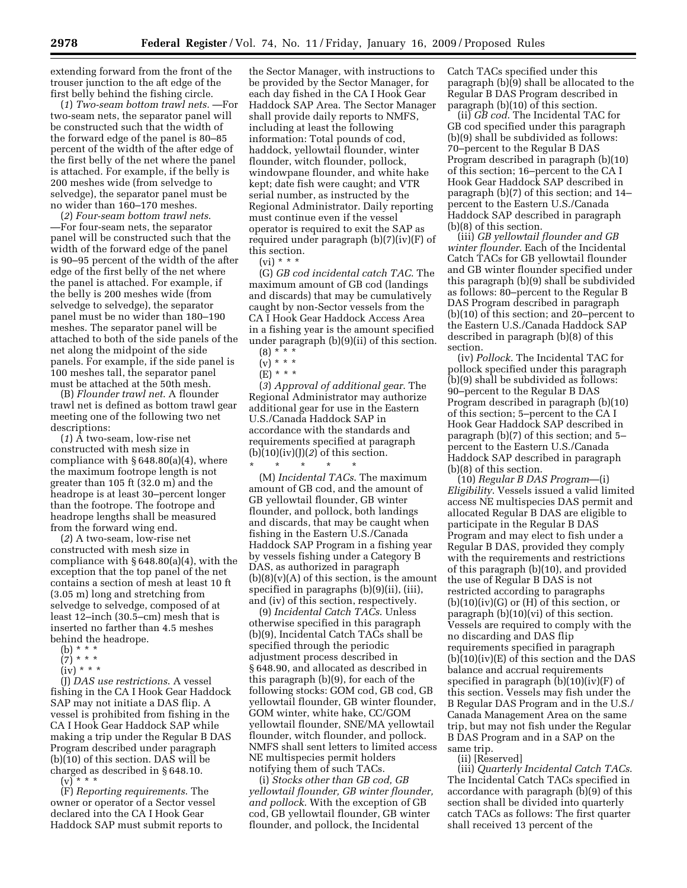extending forward from the front of the trouser junction to the aft edge of the first belly behind the fishing circle.

(*1*) *Two-seam bottom trawl nets.* —For two-seam nets, the separator panel will be constructed such that the width of the forward edge of the panel is 80–85 percent of the width of the after edge of the first belly of the net where the panel is attached. For example, if the belly is 200 meshes wide (from selvedge to selvedge), the separator panel must be no wider than 160–170 meshes.

(*2*) *Four-seam bottom trawl nets*. —For four-seam nets, the separator panel will be constructed such that the width of the forward edge of the panel is 90–95 percent of the width of the after edge of the first belly of the net where the panel is attached. For example, if the belly is 200 meshes wide (from selvedge to selvedge), the separator panel must be no wider than 180–190 meshes. The separator panel will be attached to both of the side panels of the net along the midpoint of the side panels. For example, if the side panel is 100 meshes tall, the separator panel must be attached at the 50th mesh.

(B) *Flounder trawl net*. A flounder trawl net is defined as bottom trawl gear meeting one of the following two net descriptions:

(*1*) A two-seam, low-rise net constructed with mesh size in compliance with  $§ 648.80(a)(4)$ , where the maximum footrope length is not greater than 105 ft (32.0 m) and the headrope is at least 30–percent longer than the footrope. The footrope and headrope lengths shall be measured from the forward wing end.

(*2*) A two-seam, low-rise net constructed with mesh size in compliance with § 648.80(a)(4), with the exception that the top panel of the net contains a section of mesh at least 10 ft (3.05 m) long and stretching from selvedge to selvedge, composed of at least 12–inch (30.5–cm) mesh that is inserted no farther than 4.5 meshes behind the headrope.

- (b) \* \* \*
- $(7)^{***}$
- $(iv) * * *$

(J) *DAS use restrictions*. A vessel fishing in the CA I Hook Gear Haddock SAP may not initiate a DAS flip. A vessel is prohibited from fishing in the CA I Hook Gear Haddock SAP while making a trip under the Regular B DAS Program described under paragraph (b)(10) of this section. DAS will be charged as described in §648.10.<br>(v) \* \* \* (v) \* \* \*

(F) *Reporting requirements*. The owner or operator of a Sector vessel declared into the CA I Hook Gear Haddock SAP must submit reports to

the Sector Manager, with instructions to be provided by the Sector Manager, for each day fished in the CA I Hook Gear Haddock SAP Area. The Sector Manager shall provide daily reports to NMFS, including at least the following information: Total pounds of cod, haddock, yellowtail flounder, winter flounder, witch flounder, pollock, windowpane flounder, and white hake kept; date fish were caught; and VTR serial number, as instructed by the Regional Administrator. Daily reporting must continue even if the vessel operator is required to exit the SAP as required under paragraph (b)(7)(iv)(F) of this section.

 $(vi) * * *$ 

(G) *GB cod incidental catch TAC*. The maximum amount of GB cod (landings and discards) that may be cumulatively caught by non-Sector vessels from the CA I Hook Gear Haddock Access Area in a fishing year is the amount specified under paragraph (b)(9)(ii) of this section.

(*3*) *Approval of additional gear*. The Regional Administrator may authorize additional gear for use in the Eastern U.S./Canada Haddock SAP in accordance with the standards and requirements specified at paragraph

 $(b)(10)(iv)(J)(2)$  of this section.

\* \* \* \* \* (M) *Incidental TACs*. The maximum amount of GB cod, and the amount of GB yellowtail flounder, GB winter flounder, and pollock, both landings and discards, that may be caught when fishing in the Eastern U.S./Canada Haddock SAP Program in a fishing year by vessels fishing under a Category B DAS, as authorized in paragraph  $(b)(8)(v)(A)$  of this section, is the amount specified in paragraphs (b)(9)(ii), (iii), and (iv) of this section, respectively.

(9) *Incidental Catch TACs*. Unless otherwise specified in this paragraph (b)(9), Incidental Catch TACs shall be specified through the periodic adjustment process described in § 648.90, and allocated as described in this paragraph (b)(9), for each of the following stocks: GOM cod, GB cod, GB yellowtail flounder, GB winter flounder, GOM winter, white hake, CC/GOM yellowtail flounder, SNE/MA yellowtail flounder, witch flounder, and pollock. NMFS shall sent letters to limited access NE multispecies permit holders notifying them of such TACs.

(i) *Stocks other than GB cod, GB yellowtail flounder, GB winter flounder, and pollock*. With the exception of GB cod, GB yellowtail flounder, GB winter flounder, and pollock, the Incidental

Catch TACs specified under this paragraph (b)(9) shall be allocated to the Regular B DAS Program described in paragraph (b)(10) of this section.

(ii) *GB cod*. The Incidental TAC for GB cod specified under this paragraph (b)(9) shall be subdivided as follows: 70–percent to the Regular B DAS Program described in paragraph (b)(10) of this section; 16–percent to the CA I Hook Gear Haddock SAP described in paragraph (b)(7) of this section; and 14– percent to the Eastern U.S./Canada Haddock SAP described in paragraph (b)(8) of this section.

(iii) *GB yellowtail flounder and GB winter flounder*. Each of the Incidental Catch TACs for GB yellowtail flounder and GB winter flounder specified under this paragraph (b)(9) shall be subdivided as follows: 80–percent to the Regular B DAS Program described in paragraph (b)(10) of this section; and 20–percent to the Eastern U.S./Canada Haddock SAP described in paragraph (b)(8) of this section.

(iv) *Pollock*. The Incidental TAC for pollock specified under this paragraph (b)(9) shall be subdivided as follows: 90–percent to the Regular B DAS Program described in paragraph (b)(10) of this section; 5–percent to the CA I Hook Gear Haddock SAP described in paragraph (b)(7) of this section; and 5– percent to the Eastern U.S./Canada Haddock SAP described in paragraph (b)(8) of this section.

(10) *Regular B DAS Program*—(i) *Eligibility*. Vessels issued a valid limited access NE multispecies DAS permit and allocated Regular B DAS are eligible to participate in the Regular B DAS Program and may elect to fish under a Regular B DAS, provided they comply with the requirements and restrictions of this paragraph (b)(10), and provided the use of Regular B DAS is not restricted according to paragraphs  $(b)(10)(iv)(G)$  or  $(H)$  of this section, or paragraph (b)(10)(vi) of this section. Vessels are required to comply with the no discarding and DAS flip requirements specified in paragraph (b)(10)(iv)(E) of this section and the DAS balance and accrual requirements specified in paragraph  $(b)(10)(iv)$  of this section. Vessels may fish under the B Regular DAS Program and in the U.S./ Canada Management Area on the same trip, but may not fish under the Regular B DAS Program and in a SAP on the same trip.

(ii) [Reserved]

(iii) *Quarterly Incidental Catch TACs*. The Incidental Catch TACs specified in accordance with paragraph (b)(9) of this section shall be divided into quarterly catch TACs as follows: The first quarter shall received 13 percent of the

 $(8) * * * *$  $(v) * * *$ 

<sup>(</sup>E) \* \* \*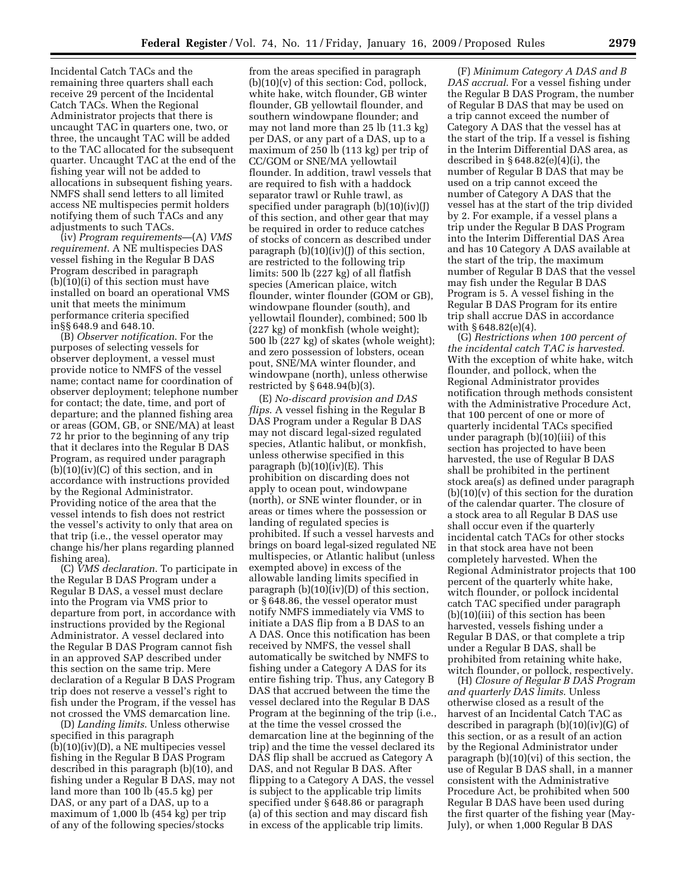Incidental Catch TACs and the remaining three quarters shall each receive 29 percent of the Incidental Catch TACs. When the Regional Administrator projects that there is uncaught TAC in quarters one, two, or three, the uncaught TAC will be added to the TAC allocated for the subsequent quarter. Uncaught TAC at the end of the fishing year will not be added to allocations in subsequent fishing years. NMFS shall send letters to all limited access NE multispecies permit holders notifying them of such TACs and any adjustments to such TACs.

(iv) *Program requirements*—(A) *VMS requirement*. A NE multispecies DAS vessel fishing in the Regular B DAS Program described in paragraph (b)(10)(i) of this section must have installed on board an operational VMS unit that meets the minimum performance criteria specified in§§ 648.9 and 648.10.

(B) *Observer notification*. For the purposes of selecting vessels for observer deployment, a vessel must provide notice to NMFS of the vessel name; contact name for coordination of observer deployment; telephone number for contact; the date, time, and port of departure; and the planned fishing area or areas (GOM, GB, or SNE/MA) at least 72 hr prior to the beginning of any trip that it declares into the Regular B DAS Program, as required under paragraph  $(b)(10)(iv)(C)$  of this section, and in accordance with instructions provided by the Regional Administrator. Providing notice of the area that the vessel intends to fish does not restrict the vessel's activity to only that area on that trip (i.e., the vessel operator may change his/her plans regarding planned fishing area).

(C) *VMS declaration*. To participate in the Regular B DAS Program under a Regular B DAS, a vessel must declare into the Program via VMS prior to departure from port, in accordance with instructions provided by the Regional Administrator. A vessel declared into the Regular B DAS Program cannot fish in an approved SAP described under this section on the same trip. Mere declaration of a Regular B DAS Program trip does not reserve a vessel's right to fish under the Program, if the vessel has not crossed the VMS demarcation line.

(D) *Landing limits*. Unless otherwise specified in this paragraph (b)(10)(iv)(D), a NE multipecies vessel fishing in the Regular B DAS Program described in this paragraph (b)(10), and fishing under a Regular B DAS, may not land more than 100 lb (45.5 kg) per DAS, or any part of a DAS, up to a maximum of 1,000 lb (454 kg) per trip of any of the following species/stocks

from the areas specified in paragraph  $(b)(10)(v)$  of this section: Cod, pollock, white hake, witch flounder, GB winter flounder, GB yellowtail flounder, and southern windowpane flounder; and may not land more than 25 lb (11.3 kg) per DAS, or any part of a DAS, up to a maximum of 250 lb (113 kg) per trip of CC/GOM or SNE/MA yellowtail flounder. In addition, trawl vessels that are required to fish with a haddock separator trawl or Ruhle trawl, as specified under paragraph (b)(10)(iv)(J) of this section, and other gear that may be required in order to reduce catches of stocks of concern as described under paragraph  $(b)(10)(iv)(j)$  of this section, are restricted to the following trip limits: 500 lb (227 kg) of all flatfish species (American plaice, witch flounder, winter flounder (GOM or GB), windowpane flounder (south), and yellowtail flounder), combined; 500 lb (227 kg) of monkfish (whole weight); 500 lb (227 kg) of skates (whole weight); and zero possession of lobsters, ocean pout, SNE/MA winter flounder, and windowpane (north), unless otherwise restricted by § 648.94(b)(3).

(E) *No-discard provision and DAS flips*. A vessel fishing in the Regular B DAS Program under a Regular B DAS may not discard legal-sized regulated species, Atlantic halibut, or monkfish, unless otherwise specified in this paragraph (b)(10)(iv)(E). This prohibition on discarding does not apply to ocean pout, windowpane (north), or SNE winter flounder, or in areas or times where the possession or landing of regulated species is prohibited. If such a vessel harvests and brings on board legal-sized regulated NE multispecies, or Atlantic halibut (unless exempted above) in excess of the allowable landing limits specified in paragraph  $(b)(10)(iv)(D)$  of this section, or § 648.86, the vessel operator must notify NMFS immediately via VMS to initiate a DAS flip from a B DAS to an A DAS. Once this notification has been received by NMFS, the vessel shall automatically be switched by NMFS to fishing under a Category A DAS for its entire fishing trip. Thus, any Category B DAS that accrued between the time the vessel declared into the Regular B DAS Program at the beginning of the trip (i.e., at the time the vessel crossed the demarcation line at the beginning of the trip) and the time the vessel declared its DAS flip shall be accrued as Category A DAS, and not Regular B DAS. After flipping to a Category A DAS, the vessel is subject to the applicable trip limits specified under § 648.86 or paragraph (a) of this section and may discard fish in excess of the applicable trip limits.

(F) *Minimum Category A DAS and B DAS accrual*. For a vessel fishing under the Regular B DAS Program, the number of Regular B DAS that may be used on a trip cannot exceed the number of Category A DAS that the vessel has at the start of the trip. If a vessel is fishing in the Interim Differential DAS area, as described in § 648.82(e)(4)(i), the number of Regular B DAS that may be used on a trip cannot exceed the number of Category A DAS that the vessel has at the start of the trip divided by 2. For example, if a vessel plans a trip under the Regular B DAS Program into the Interim Differential DAS Area and has 10 Category A DAS available at the start of the trip, the maximum number of Regular B DAS that the vessel may fish under the Regular B DAS Program is 5. A vessel fishing in the Regular B DAS Program for its entire trip shall accrue DAS in accordance with § 648.82(e)(4).

(G) *Restrictions when 100 percent of the incidental catch TAC is harvested*. With the exception of white hake, witch flounder, and pollock, when the Regional Administrator provides notification through methods consistent with the Administrative Procedure Act, that 100 percent of one or more of quarterly incidental TACs specified under paragraph (b)(10)(iii) of this section has projected to have been harvested, the use of Regular B DAS shall be prohibited in the pertinent stock area(s) as defined under paragraph  $(b)(10)(v)$  of this section for the duration of the calendar quarter. The closure of a stock area to all Regular B DAS use shall occur even if the quarterly incidental catch TACs for other stocks in that stock area have not been completely harvested. When the Regional Administrator projects that 100 percent of the quarterly white hake, witch flounder, or pollock incidental catch TAC specified under paragraph (b)(10)(iii) of this section has been harvested, vessels fishing under a Regular B DAS, or that complete a trip under a Regular B DAS, shall be prohibited from retaining white hake, witch flounder, or pollock, respectively.

(H) *Closure of Regular B DAS Program and quarterly DAS limits*. Unless otherwise closed as a result of the harvest of an Incidental Catch TAC as described in paragraph (b)(10)(iv)(G) of this section, or as a result of an action by the Regional Administrator under paragraph (b)(10)(vi) of this section, the use of Regular B DAS shall, in a manner consistent with the Administrative Procedure Act, be prohibited when 500 Regular B DAS have been used during the first quarter of the fishing year (May-July), or when 1,000 Regular B DAS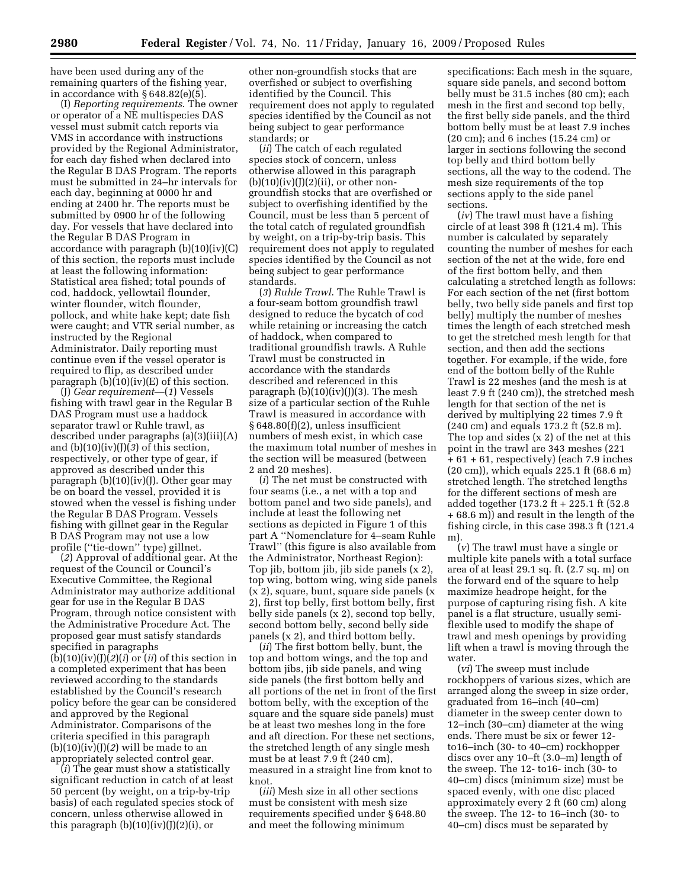have been used during any of the remaining quarters of the fishing year, in accordance with § 648.82(e)(5).

(I) *Reporting requirements*. The owner or operator of a NE multispecies DAS vessel must submit catch reports via VMS in accordance with instructions provided by the Regional Administrator, for each day fished when declared into the Regular B DAS Program. The reports must be submitted in 24–hr intervals for each day, beginning at 0000 hr and ending at 2400 hr. The reports must be submitted by 0900 hr of the following day. For vessels that have declared into the Regular B DAS Program in accordance with paragraph (b)(10)(iv)(C) of this section, the reports must include at least the following information: Statistical area fished; total pounds of cod, haddock, yellowtail flounder, winter flounder, witch flounder, pollock, and white hake kept; date fish were caught; and VTR serial number, as instructed by the Regional Administrator. Daily reporting must continue even if the vessel operator is required to flip, as described under paragraph  $(b)(10)(iv)(E)$  of this section.

(J) *Gear requirement*—(*1*) Vessels fishing with trawl gear in the Regular B DAS Program must use a haddock separator trawl or Ruhle trawl, as described under paragraphs (a)(3)(iii)(A) and (b)(10)(iv)(J)(*3*) of this section, respectively, or other type of gear, if approved as described under this paragraph (b)(10)(iv)(J). Other gear may be on board the vessel, provided it is stowed when the vessel is fishing under the Regular B DAS Program. Vessels fishing with gillnet gear in the Regular B DAS Program may not use a low profile (''tie-down'' type) gillnet.

(*2*) Approval of additional gear. At the request of the Council or Council's Executive Committee, the Regional Administrator may authorize additional gear for use in the Regular B DAS Program, through notice consistent with the Administrative Procedure Act. The proposed gear must satisfy standards specified in paragraphs  $(b)(10)(iv)(J)(2)(i)$  or  $(ii)$  of this section in a completed experiment that has been reviewed according to the standards established by the Council's research policy before the gear can be considered and approved by the Regional Administrator. Comparisons of the criteria specified in this paragraph  $(b)(10)(iv)(J)(2)$  will be made to an appropriately selected control gear.

(*i*) The gear must show a statistically significant reduction in catch of at least 50 percent (by weight, on a trip-by-trip basis) of each regulated species stock of concern, unless otherwise allowed in this paragraph  $(b)(10)(iv)(J)(2)(i)$ , or

other non-groundfish stocks that are overfished or subject to overfishing identified by the Council. This requirement does not apply to regulated species identified by the Council as not being subject to gear performance standards; or

(*ii*) The catch of each regulated species stock of concern, unless otherwise allowed in this paragraph  $(b)(10)(iv)(J)(2)(ii)$ , or other nongroundfish stocks that are overfished or subject to overfishing identified by the Council, must be less than 5 percent of the total catch of regulated groundfish by weight, on a trip-by-trip basis. This requirement does not apply to regulated species identified by the Council as not being subject to gear performance standards.

(*3*) *Ruhle Trawl*. The Ruhle Trawl is a four-seam bottom groundfish trawl designed to reduce the bycatch of cod while retaining or increasing the catch of haddock, when compared to traditional groundfish trawls. A Ruhle Trawl must be constructed in accordance with the standards described and referenced in this paragraph  $(b)(10)(iv)(J)(3)$ . The mesh size of a particular section of the Ruhle Trawl is measured in accordance with § 648.80(f)(2), unless insufficient numbers of mesh exist, in which case the maximum total number of meshes in the section will be measured (between 2 and 20 meshes).

(*i*) The net must be constructed with four seams (i.e., a net with a top and bottom panel and two side panels), and include at least the following net sections as depicted in Figure 1 of this part A ''Nomenclature for 4–seam Ruhle Trawl'' (this figure is also available from the Administrator, Northeast Region): Top jib, bottom jib, jib side panels (x 2), top wing, bottom wing, wing side panels (x 2), square, bunt, square side panels (x 2), first top belly, first bottom belly, first belly side panels (x 2), second top belly, second bottom belly, second belly side panels (x 2), and third bottom belly.

(*ii*) The first bottom belly, bunt, the top and bottom wings, and the top and bottom jibs, jib side panels, and wing side panels (the first bottom belly and all portions of the net in front of the first bottom belly, with the exception of the square and the square side panels) must be at least two meshes long in the fore and aft direction. For these net sections, the stretched length of any single mesh must be at least 7.9 ft (240 cm), measured in a straight line from knot to knot.

(*iii*) Mesh size in all other sections must be consistent with mesh size requirements specified under § 648.80 and meet the following minimum

specifications: Each mesh in the square, square side panels, and second bottom belly must be 31.5 inches (80 cm); each mesh in the first and second top belly, the first belly side panels, and the third bottom belly must be at least 7.9 inches (20 cm); and 6 inches (15.24 cm) or larger in sections following the second top belly and third bottom belly sections, all the way to the codend. The mesh size requirements of the top sections apply to the side panel sections.

(*iv*) The trawl must have a fishing circle of at least 398 ft (121.4 m). This number is calculated by separately counting the number of meshes for each section of the net at the wide, fore end of the first bottom belly, and then calculating a stretched length as follows: For each section of the net (first bottom belly, two belly side panels and first top belly) multiply the number of meshes times the length of each stretched mesh to get the stretched mesh length for that section, and then add the sections together. For example, if the wide, fore end of the bottom belly of the Ruhle Trawl is 22 meshes (and the mesh is at least 7.9 ft (240 cm)), the stretched mesh length for that section of the net is derived by multiplying 22 times 7.9 ft (240 cm) and equals 173.2 ft (52.8 m). The top and sides (x 2) of the net at this point in the trawl are 343 meshes (221 + 61 + 61, respectively) (each 7.9 inches (20 cm)), which equals 225.1 ft (68.6 m) stretched length. The stretched lengths for the different sections of mesh are added together (173.2 ft + 225.1 ft (52.8 + 68.6 m)) and result in the length of the fishing circle, in this case 398.3 ft (121.4 m).

(*v*) The trawl must have a single or multiple kite panels with a total surface area of at least 29.1 sq. ft. (2.7 sq. m) on the forward end of the square to help maximize headrope height, for the purpose of capturing rising fish. A kite panel is a flat structure, usually semiflexible used to modify the shape of trawl and mesh openings by providing lift when a trawl is moving through the water.

(*vi*) The sweep must include rockhoppers of various sizes, which are arranged along the sweep in size order, graduated from 16–inch (40–cm) diameter in the sweep center down to 12–inch (30–cm) diameter at the wing ends. There must be six or fewer 12 to16–inch (30- to 40–cm) rockhopper discs over any 10–ft (3.0–m) length of the sweep. The 12- to16- inch (30- to 40–cm) discs (minimum size) must be spaced evenly, with one disc placed approximately every 2 ft (60 cm) along the sweep. The 12- to 16–inch (30- to 40–cm) discs must be separated by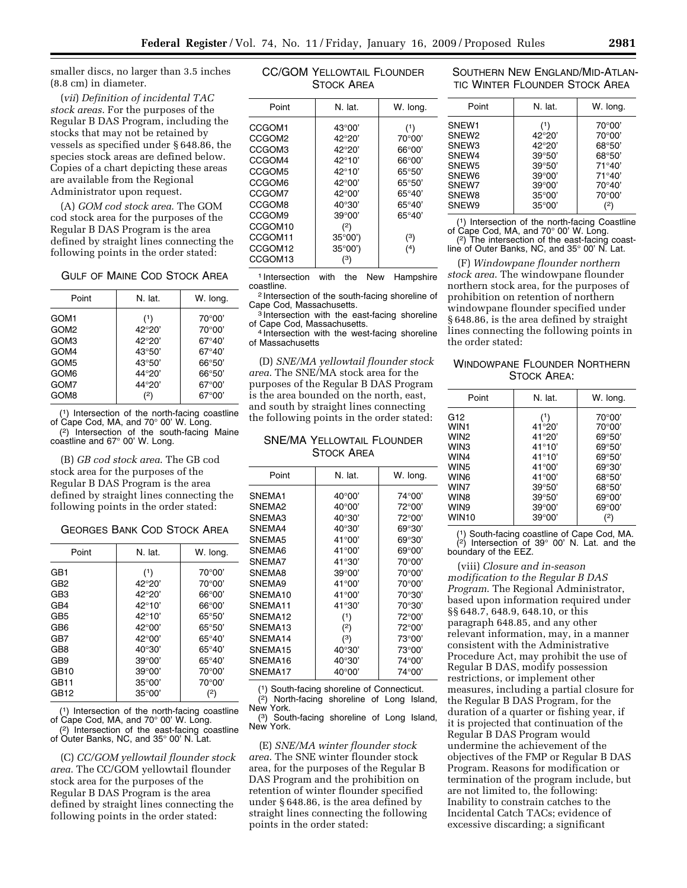smaller discs, no larger than 3.5 inches (8.8 cm) in diameter.

(*vii*) *Definition of incidental TAC stock areas*. For the purposes of the Regular B DAS Program, including the stocks that may not be retained by vessels as specified under § 648.86, the species stock areas are defined below. Copies of a chart depicting these areas are available from the Regional Administrator upon request.

(A) *GOM cod stock area*. The GOM cod stock area for the purposes of the Regular B DAS Program is the area defined by straight lines connecting the following points in the order stated:

| <b>GULF OF MAINE COD STOCK AREA</b> |
|-------------------------------------|
|                                     |

| Point            | N. lat.         | W. long.        |
|------------------|-----------------|-----------------|
| GOM <sub>1</sub> | (1)             | $70^{\circ}00'$ |
| GOM <sub>2</sub> | 42°20'          | $70^{\circ}00'$ |
| GOM3             | 42°20'          | $67^{\circ}40'$ |
| GOM4             | $43^{\circ}50'$ | $67^{\circ}40'$ |
| GOM <sub>5</sub> | $43^{\circ}50'$ | 66°50'          |
| GOM <sub>6</sub> | 44°20'          | 66°50'          |
| GOM7             | 44°20'          | $67^{\circ}00'$ |
| GOM8             | (2)             | $67^{\circ}00'$ |

(1) Intersection of the north-facing coastline of Cape Cod, MA, and 70° 00' W. Long.

(2) Intersection of the south-facing Maine coastline and 67° 00' W. Long.

(B) *GB cod stock area*. The GB cod stock area for the purposes of the Regular B DAS Program is the area defined by straight lines connecting the following points in the order stated:

#### GEORGES BANK COD STOCK AREA

| Point           | N. lat.         | W. long.        |
|-----------------|-----------------|-----------------|
| GB1             | (1)             | $70^{\circ}00'$ |
| GB2             | 42°20'          | $70^{\circ}00'$ |
| GB <sub>3</sub> | 42°20'          | $66^{\circ}00'$ |
| GB4             | $42^{\circ}10'$ | $66^{\circ}00'$ |
| GB5             | $42^{\circ}10'$ | $65^{\circ}50'$ |
| GB <sub>6</sub> | $42^{\circ}00'$ | $65^{\circ}50'$ |
| GB7             | $42^{\circ}00'$ | $65^{\circ}40'$ |
| GB8             | $40^{\circ}30'$ | $65^{\circ}40'$ |
| GB <sub>9</sub> | $39^{\circ}00'$ | $65^{\circ}40'$ |
| GB10            | $39^{\circ}00'$ | $70^{\circ}00'$ |
| GB11            | $35^{\circ}00'$ | 70°00'          |
| GB12            | $35^{\circ}00'$ | (2)             |

<sup>1</sup>) Intersection of the north-facing coastline of Cape Cod, MA, and 70° 00' W. Long.

(2) Intersection of the east-facing coastline of Outer Banks, NC, and 35° 00' N. Lat.

(C) *CC/GOM yellowtail flounder stock area*. The CC/GOM yellowtail flounder stock area for the purposes of the Regular B DAS Program is the area defined by straight lines connecting the following points in the order stated:

| CC/GOM YELLOWTAIL FLOUNDER |  |
|----------------------------|--|
| <b>STOCK AREA</b>          |  |

| Point              | N. lat.         | W. long.        |
|--------------------|-----------------|-----------------|
| CCGOM <sub>1</sub> | $43^{\circ}00'$ | (1)             |
| CCGOM <sub>2</sub> | 42°20'          | $70^{\circ}00'$ |
| CCGOM3             | 42°20'          | $66^{\circ}00'$ |
| CCGOM4             | 42°10'          | $66^{\circ}00'$ |
| CCGOM5             | 42°10'          | $65^{\circ}50'$ |
| CCGOM6             | $42^{\circ}00'$ | $65^{\circ}50'$ |
| CCGOM7             | $42^{\circ}00'$ | 65°40'          |
| CCGOM8             | $40^{\circ}30'$ | 65°40'          |
| CCGOM9             | $39^{\circ}00'$ | 65°40'          |
| CCGOM10            | (2)             |                 |
| CCGOM11            | $35^{\circ}00'$ | (3)             |
| CCGOM12            | $35^{\circ}00'$ | (4)             |
| CCGOM13            | (3)             |                 |
|                    |                 |                 |

1 Intersection with the New Hampshire

coastline.<br><sup>2</sup> Intersection of the south-facing shoreline of<br>Cape Cod, Massachusetts.

 $\frac{3}{3}$ Intersection with the east-facing shoreline of Cape Cod. Massachusetts.

<sup>4</sup> Intersection with the west-facing shoreline of Massachusetts

(D) *SNE/MA yellowtail flounder stock area*. The SNE/MA stock area for the purposes of the Regular B DAS Program is the area bounded on the north, east, and south by straight lines connecting the following points in the order stated:

SNE/MA YELLOWTAIL FLOUNDER STOCK AREA

| Point              | N. lat.         | W. long. |
|--------------------|-----------------|----------|
| SNEMA1             | $40^{\circ}00'$ | 74°00'   |
| SNEMA <sub>2</sub> | $40^{\circ}00'$ | 72°00'   |
| SNEMA3             | $40^{\circ}30'$ | 72°00'   |
| SNEMA4             | $40^{\circ}30'$ | 69°30'   |
| SNEMA5             | $41^{\circ}00'$ | 69°30'   |
| SNFMA6             | 41°00'          | 69°00'   |
| SNEMA7             | 41°30'          | 70°00'   |
| <b>SNFMA8</b>      | 39°00'          | 70°00'   |
| SNFMA9             | 41°00'          | 70°00'   |
| SNFMA10            | 41°00'          | 70°30'   |
| SNEMA11            | 41°30'          | 70°30'   |
| SNEMA12            | (1)             | 72°00'   |
| SNEMA13            | (2)             | 72°00'   |
| SNEMA14            | (3)             | 73°00'   |
| SNEMA15            | $40^{\circ}30'$ | 73°00'   |
| SNFMA16            | 40°30'          | 74°00'   |
| SNEMA17            | $40^{\circ}00'$ | 74°00'   |

(1) South-facing shoreline of Connecticut.

 $(2)$  North-facing shoreline of Long Island, New York.

(3) South-facing shoreline of Long Island, New York.

(E) *SNE/MA winter flounder stock area*. The SNE winter flounder stock area, for the purposes of the Regular B DAS Program and the prohibition on retention of winter flounder specified under § 648.86, is the area defined by straight lines connecting the following points in the order stated:

## SOUTHERN NEW ENGLAND/MID-ATLAN-TIC WINTER FLOUNDER STOCK AREA

| Point                                                                                                                                     | N. lat.                                                                                                                                   | W. long.                                                                            |
|-------------------------------------------------------------------------------------------------------------------------------------------|-------------------------------------------------------------------------------------------------------------------------------------------|-------------------------------------------------------------------------------------|
| SNEW <sub>1</sub><br>SNEW <sub>2</sub><br>SNEW <sub>3</sub><br>SNEW4<br>SNEW <sub>5</sub><br>SNEW <sub>6</sub><br>SNEW7<br>SNEW8<br>SNEW9 | (1)<br>42°20'<br>42°20'<br>$39^{\circ}50'$<br>$39^{\circ}50'$<br>$39^{\circ}00'$<br>$39^{\circ}00'$<br>$35^{\circ}00'$<br>$35^{\circ}00'$ | 70°00'<br>70°00'<br>68°50'<br>68°50'<br>71°40'<br>71°40'<br>70°40'<br>70°00'<br>(2) |

(1) Intersection of the north-facing Coastline of Cape Cod, MA, and 70° 00' W. Long. (2) The intersection of the east-facing coastline of Outer Banks, NC, and 35° 00' N. Lat.

(F) *Windowpane flounder northern stock area*. The windowpane flounder northern stock area, for the purposes of prohibition on retention of northern windowpane flounder specified under § 648.86, is the area defined by straight lines connecting the following points in the order stated:

## WINDOWPANE FLOUNDER NORTHERN STOCK AREA:

| Point             | N. lat.         | W. long.        |
|-------------------|-----------------|-----------------|
| G <sub>12</sub>   | (1)             | 70°00'          |
| WIN <sub>1</sub>  | 41°20'          | 70°00'          |
| WIN <sub>2</sub>  | 41°20'          | $69^{\circ}50'$ |
| WIN3              | $41^{\circ}10'$ | $69^{\circ}50'$ |
| WIN4              | $41^{\circ}10'$ | $69^{\circ}50'$ |
| WIN <sub>5</sub>  | 41°00'          | 69°30'          |
| WIN <sub>6</sub>  | 41°00'          | 68°50'          |
| WIN7              | $39^{\circ}50'$ | 68°50'          |
| WIN8              | $39^{\circ}50'$ | $69^{\circ}00'$ |
| WIN9              | $39^{\circ}00'$ | $69^{\circ}00'$ |
| WIN <sub>10</sub> | $39^{\circ}00'$ | (2)             |
|                   |                 |                 |

(1) South-facing coastline of Cape Cod, MA.  $(2)$  Intersection of 39 $^{\circ}$  00' N. Lat. and the boundary of the EEZ.

(viii) *Closure and in-season modification to the Regular B DAS Program*. The Regional Administrator, based upon information required under §§ 648.7, 648.9, 648.10, or this paragraph 648.85, and any other relevant information, may, in a manner consistent with the Administrative Procedure Act, may prohibit the use of Regular B DAS, modify possession restrictions, or implement other measures, including a partial closure for the Regular B DAS Program, for the duration of a quarter or fishing year, if it is projected that continuation of the Regular B DAS Program would undermine the achievement of the objectives of the FMP or Regular B DAS Program. Reasons for modification or termination of the program include, but are not limited to, the following: Inability to constrain catches to the Incidental Catch TACs; evidence of excessive discarding; a significant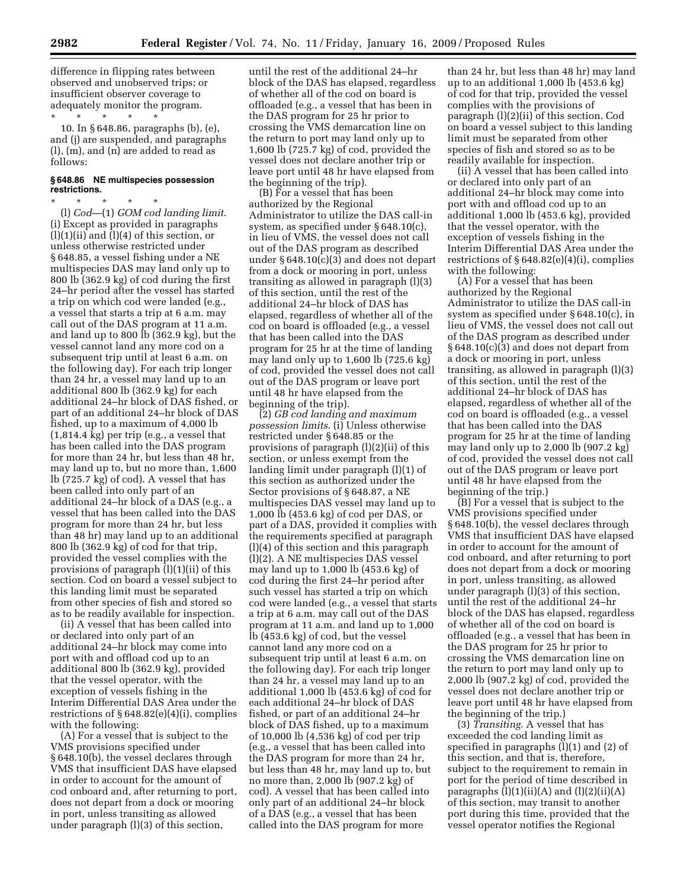difference in flipping rates between observed and unobserved trips; or insufficient observer coverage to adequately monitor the program.

\* \* \* \* \* 10. In § 648.86, paragraphs (b), (e), and (j) are suspended, and paragraphs (l), (m), and (n) are added to read as follows:

### **§ 648.86 NE multispecies possession restrictions.**

\* \* \* \* \* (l) *Cod*—(1) *GOM cod landing limit*. (i) Except as provided in paragraphs  $(l)(1)(ii)$  and  $(l)(4)$  of this section, or unless otherwise restricted under § 648.85, a vessel fishing under a NE multispecies DAS may land only up to 800 lb (362.9 kg) of cod during the first 24–hr period after the vessel has started a trip on which cod were landed (e.g., a vessel that starts a trip at 6 a.m. may call out of the DAS program at 11 a.m. and land up to 800 lb (362.9 kg), but the vessel cannot land any more cod on a subsequent trip until at least 6 a.m. on the following day). For each trip longer than 24 hr, a vessel may land up to an additional 800 lb (362.9 kg) for each additional 24–hr block of DAS fished, or part of an additional 24–hr block of DAS fished, up to a maximum of 4,000 lb (1,814.4 kg) per trip (e.g., a vessel that has been called into the DAS program for more than 24 hr, but less than 48 hr, may land up to, but no more than, 1,600 lb (725.7 kg) of cod). A vessel that has been called into only part of an additional 24–hr block of a DAS (e.g., a vessel that has been called into the DAS program for more than 24 hr, but less than 48 hr) may land up to an additional 800 lb (362.9 kg) of cod for that trip, provided the vessel complies with the provisions of paragraph (l)(1)(ii) of this section. Cod on board a vessel subject to this landing limit must be separated from other species of fish and stored so as to be readily available for inspection.

(ii) A vessel that has been called into or declared into only part of an additional 24–hr block may come into port with and offload cod up to an additional 800 lb (362.9 kg), provided that the vessel operator, with the exception of vessels fishing in the Interim Differential DAS Area under the restrictions of § 648.82(e)(4)(i), complies with the following:

(A) For a vessel that is subject to the VMS provisions specified under § 648.10(b), the vessel declares through VMS that insufficient DAS have elapsed in order to account for the amount of cod onboard and, after returning to port, does not depart from a dock or mooring in port, unless transiting as allowed under paragraph (l)(3) of this section,

until the rest of the additional 24–hr block of the DAS has elapsed, regardless of whether all of the cod on board is offloaded (e.g., a vessel that has been in the DAS program for 25 hr prior to crossing the VMS demarcation line on the return to port may land only up to 1,600 lb (725.7 kg) of cod, provided the vessel does not declare another trip or leave port until 48 hr have elapsed from the beginning of the trip).

(B) For a vessel that has been authorized by the Regional Administrator to utilize the DAS call-in system, as specified under § 648.10(c), in lieu of VMS, the vessel does not call out of the DAS program as described under § 648.10(c)(3) and does not depart from a dock or mooring in port, unless transiting as allowed in paragraph (l)(3) of this section, until the rest of the additional 24–hr block of DAS has elapsed, regardless of whether all of the cod on board is offloaded (e.g., a vessel that has been called into the DAS program for 25 hr at the time of landing may land only up to 1,600 lb (725.6 kg) of cod, provided the vessel does not call out of the DAS program or leave port until 48 hr have elapsed from the beginning of the trip).

(2) *GB cod landing and maximum possession limits*. (i) Unless otherwise restricted under § 648.85 or the provisions of paragraph (l)(2)(ii) of this section, or unless exempt from the landing limit under paragraph (l)(1) of this section as authorized under the Sector provisions of § 648.87, a NE multispecies DAS vessel may land up to 1,000 lb (453.6 kg) of cod per DAS, or part of a DAS, provided it complies with the requirements specified at paragraph (l)(4) of this section and this paragraph (l)(2). A NE multispecies DAS vessel may land up to 1,000 lb (453.6 kg) of cod during the first 24–hr period after such vessel has started a trip on which cod were landed (e.g., a vessel that starts a trip at 6 a.m. may call out of the DAS program at 11 a.m. and land up to 1,000 lb (453.6 kg) of cod, but the vessel cannot land any more cod on a subsequent trip until at least 6 a.m. on the following day). For each trip longer than 24 hr, a vessel may land up to an additional 1,000 lb (453.6 kg) of cod for each additional 24–hr block of DAS fished, or part of an additional 24–hr block of DAS fished, up to a maximum of 10,000 lb (4,536 kg) of cod per trip (e.g., a vessel that has been called into the DAS program for more than 24 hr, but less than 48 hr, may land up to, but no more than, 2,000 lb (907.2 kg) of cod). A vessel that has been called into only part of an additional 24–hr block of a DAS (e.g., a vessel that has been called into the DAS program for more

than 24 hr, but less than 48 hr) may land up to an additional 1,000 lb (453.6 kg) of cod for that trip, provided the vessel complies with the provisions of paragraph (l)(2)(ii) of this section. Cod on board a vessel subject to this landing limit must be separated from other species of fish and stored so as to be readily available for inspection.

(ii) A vessel that has been called into or declared into only part of an additional 24–hr block may come into port with and offload cod up to an additional 1,000 lb (453.6 kg), provided that the vessel operator, with the exception of vessels fishing in the Interim Differential DAS Area under the restrictions of  $§ 648.82(e)(4)(i)$ , complies with the following:

(A) For a vessel that has been authorized by the Regional Administrator to utilize the DAS call-in system as specified under § 648.10(c), in lieu of VMS, the vessel does not call out of the DAS program as described under § 648.10(c)(3) and does not depart from a dock or mooring in port, unless transiting, as allowed in paragraph (l)(3) of this section, until the rest of the additional 24–hr block of DAS has elapsed, regardless of whether all of the cod on board is offloaded (e.g., a vessel that has been called into the DAS program for 25 hr at the time of landing may land only up to 2,000 lb (907.2 kg) of cod, provided the vessel does not call out of the DAS program or leave port until 48 hr have elapsed from the beginning of the trip.)

(B) For a vessel that is subject to the VMS provisions specified under § 648.10(b), the vessel declares through VMS that insufficient DAS have elapsed in order to account for the amount of cod onboard, and after returning to port does not depart from a dock or mooring in port, unless transiting, as allowed under paragraph (l)(3) of this section, until the rest of the additional 24–hr block of the DAS has elapsed, regardless of whether all of the cod on board is offloaded (e.g., a vessel that has been in the DAS program for 25 hr prior to crossing the VMS demarcation line on the return to port may land only up to 2,000 lb (907.2 kg) of cod, provided the vessel does not declare another trip or leave port until 48 hr have elapsed from the beginning of the trip.)

(3) *Transiting*. A vessel that has exceeded the cod landing limit as specified in paragraphs (l)(1) and (2) of this section, and that is, therefore, subject to the requirement to remain in port for the period of time described in paragraphs  $(l)(1)(ii)(A)$  and  $(l)(2)(ii)(A)$ of this section, may transit to another port during this time, provided that the vessel operator notifies the Regional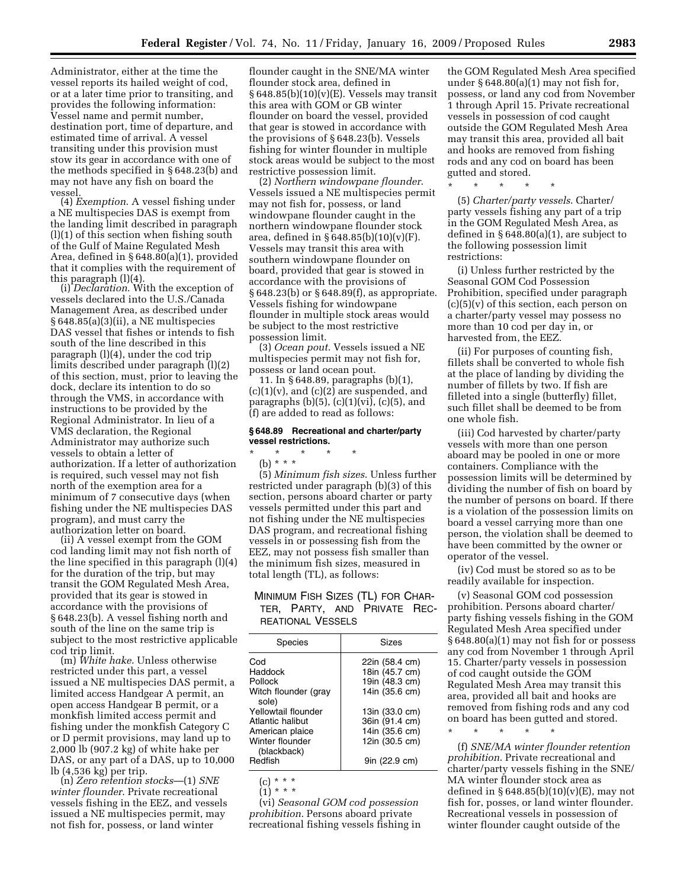Administrator, either at the time the vessel reports its hailed weight of cod, or at a later time prior to transiting, and provides the following information: Vessel name and permit number, destination port, time of departure, and estimated time of arrival. A vessel transiting under this provision must stow its gear in accordance with one of the methods specified in § 648.23(b) and may not have any fish on board the vessel.

(4) *Exemption*. A vessel fishing under a NE multispecies DAS is exempt from the landing limit described in paragraph (l)(1) of this section when fishing south of the Gulf of Maine Regulated Mesh Area, defined in § 648.80(a)(1), provided that it complies with the requirement of

this paragraph (l)(4). (i) *Declaration*. With the exception of vessels declared into the U.S./Canada Management Area, as described under § 648.85(a)(3)(ii), a NE multispecies DAS vessel that fishes or intends to fish south of the line described in this paragraph (l)(4), under the cod trip limits described under paragraph (l)(2) of this section, must, prior to leaving the dock, declare its intention to do so through the VMS, in accordance with instructions to be provided by the Regional Administrator. In lieu of a VMS declaration, the Regional Administrator may authorize such vessels to obtain a letter of authorization. If a letter of authorization is required, such vessel may not fish north of the exemption area for a minimum of 7 consecutive days (when fishing under the NE multispecies DAS program), and must carry the authorization letter on board.

(ii) A vessel exempt from the GOM cod landing limit may not fish north of the line specified in this paragraph (l)(4) for the duration of the trip, but may transit the GOM Regulated Mesh Area, provided that its gear is stowed in accordance with the provisions of § 648.23(b). A vessel fishing north and south of the line on the same trip is subject to the most restrictive applicable cod trip limit. (m) *White hake*. Unless otherwise

restricted under this part, a vessel issued a NE multispecies DAS permit, a limited access Handgear A permit, an open access Handgear B permit, or a monkfish limited access permit and fishing under the monkfish Category C or D permit provisions, may land up to 2,000 lb (907.2 kg) of white hake per DAS, or any part of a DAS, up to 10,000 lb (4,536 kg) per trip. (n) *Zero retention stocks*—(1) *SNE* 

*winter flounder*. Private recreational vessels fishing in the EEZ, and vessels issued a NE multispecies permit, may not fish for, possess, or land winter

flounder caught in the SNE/MA winter flounder stock area, defined in  $§ 648.85(b)(10)(v)(E)$ . Vessels may transit this area with GOM or GB winter flounder on board the vessel, provided that gear is stowed in accordance with the provisions of § 648.23(b). Vessels fishing for winter flounder in multiple stock areas would be subject to the most restrictive possession limit.

(2) *Northern windowpane flounder*. Vessels issued a NE multispecies permit may not fish for, possess, or land windowpane flounder caught in the northern windowpane flounder stock area, defined in  $\S 648.85(b)(10)(v)(F)$ . Vessels may transit this area with southern windowpane flounder on board, provided that gear is stowed in accordance with the provisions of § 648.23(b) or § 648.89(f), as appropriate. Vessels fishing for windowpane flounder in multiple stock areas would be subject to the most restrictive possession limit.

(3) *Ocean pout*. Vessels issued a NE multispecies permit may not fish for, possess or land ocean pout.

11. In § 648.89, paragraphs (b)(1),  $(c)(1)(v)$ , and  $(c)(2)$  are suspended, and paragraphs  $(b)(5)$ ,  $(c)(1)(vi)$ ,  $(c)(5)$ , and (f) are added to read as follows:

#### **§ 648.89 Recreational and charter/party vessel restrictions.**

# \* \* \* \* \*

(b) \* \* \*

(5) *Minimum fish sizes*. Unless further restricted under paragraph (b)(3) of this section, persons aboard charter or party vessels permitted under this part and not fishing under the NE multispecies DAS program, and recreational fishing vessels in or possessing fish from the EEZ, may not possess fish smaller than the minimum fish sizes, measured in total length (TL), as follows:

## MINIMUM FISH SIZES (TL) FOR CHAR-TER, PARTY, AND PRIVATE REC-REATIONAL VESSELS

| Sizes                                                                                                                                                         |
|---------------------------------------------------------------------------------------------------------------------------------------------------------------|
| 22in (58.4 cm)<br>18in (45.7 cm)<br>19in (48.3 cm)<br>14in (35.6 cm)<br>13in (33.0 cm)<br>36in (91.4 cm)<br>14in (35.6 cm)<br>12in (30.5 cm)<br>9in (22.9 cm) |
|                                                                                                                                                               |

(c) \* \* \*

(1) \* \* \* (vi) *Seasonal GOM cod possession prohibition*. Persons aboard private recreational fishing vessels fishing in

the GOM Regulated Mesh Area specified under  $\S 648.80(a)(1)$  may not fish for, possess, or land any cod from November 1 through April 15. Private recreational vessels in possession of cod caught outside the GOM Regulated Mesh Area may transit this area, provided all bait and hooks are removed from fishing rods and any cod on board has been gutted and stored.

\* \* \* \* \*

(5) *Charter/party vessels*. Charter/ party vessels fishing any part of a trip in the GOM Regulated Mesh Area, as defined in § 648.80(a)(1), are subject to the following possession limit restrictions:

(i) Unless further restricted by the Seasonal GOM Cod Possession Prohibition, specified under paragraph  $(c)(5)(v)$  of this section, each person on a charter/party vessel may possess no more than 10 cod per day in, or harvested from, the EEZ.

(ii) For purposes of counting fish, fillets shall be converted to whole fish at the place of landing by dividing the number of fillets by two. If fish are filleted into a single (butterfly) fillet, such fillet shall be deemed to be from one whole fish.

(iii) Cod harvested by charter/party vessels with more than one person aboard may be pooled in one or more containers. Compliance with the possession limits will be determined by dividing the number of fish on board by the number of persons on board. If there is a violation of the possession limits on board a vessel carrying more than one person, the violation shall be deemed to have been committed by the owner or operator of the vessel.

(iv) Cod must be stored so as to be readily available for inspection.

(v) Seasonal GOM cod possession prohibition. Persons aboard charter/ party fishing vessels fishing in the GOM Regulated Mesh Area specified under § 648.80(a)(1) may not fish for or possess any cod from November 1 through April 15. Charter/party vessels in possession of cod caught outside the GOM Regulated Mesh Area may transit this area, provided all bait and hooks are removed from fishing rods and any cod on board has been gutted and stored.

\* \* \* \* \*

(f) *SNE/MA winter flounder retention prohibition*. Private recreational and charter/party vessels fishing in the SNE/ MA winter flounder stock area as defined in  $\S 648.85(b)(10)(v)(E)$ , may not fish for, posses, or land winter flounder. Recreational vessels in possession of winter flounder caught outside of the